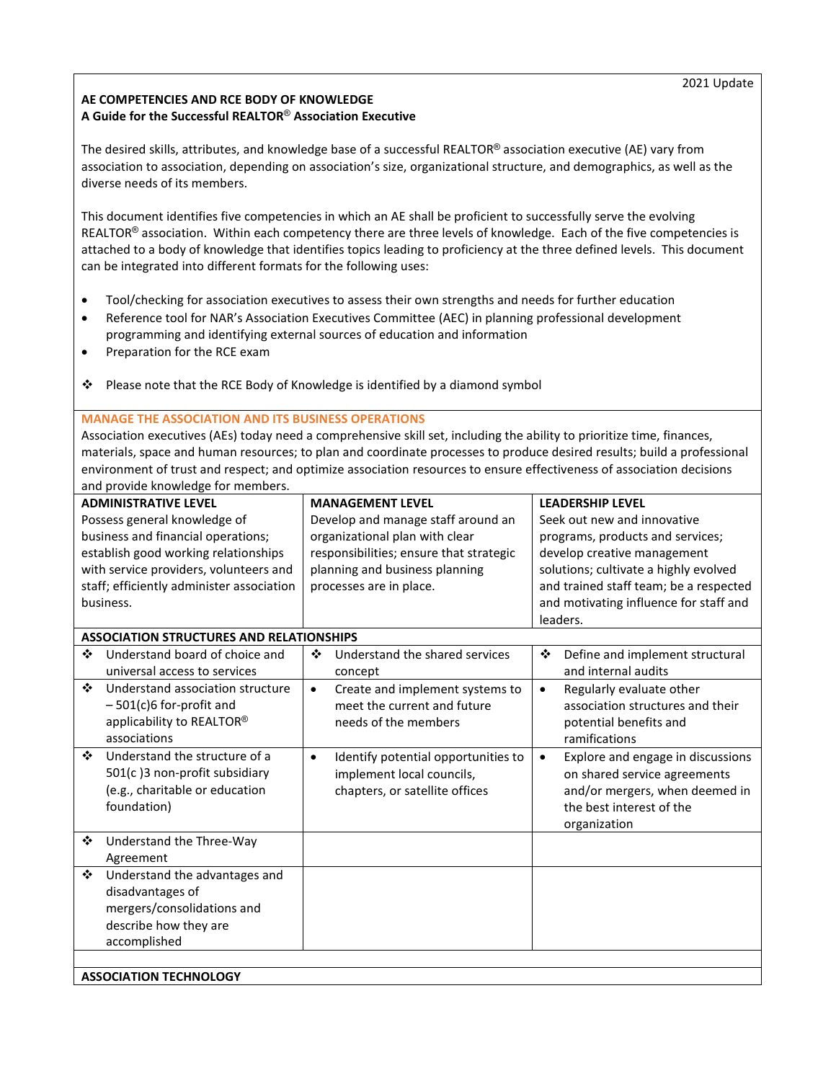## **AE COMPETENCIES AND RCE BODY OF KNOWLEDGE A Guide for the Successful REALTOR**® **Association Executive**

The desired skills, attributes, and knowledge base of a successful REALTOR® association executive (AE) vary from association to association, depending on association's size, organizational structure, and demographics, as well as the diverse needs of its members.

This document identifies five competencies in which an AE shall be proficient to successfully serve the evolving REALTOR<sup>®</sup> association. Within each competency there are three levels of knowledge. Each of the five competencies is attached to a body of knowledge that identifies topics leading to proficiency at the three defined levels. This document can be integrated into different formats for the following uses:

- Tool/checking for association executives to assess their own strengths and needs for further education
- Reference tool for NAR's Association Executives Committee (AEC) in planning professional development programming and identifying external sources of education and information
- Preparation for the RCE exam
- Please note that the RCE Body of Knowledge is identified by a diamond symbol

## **MANAGE THE ASSOCIATION AND ITS BUSINESS OPERATIONS**

Association executives (AEs) today need a comprehensive skill set, including the ability to prioritize time, finances, materials, space and human resources; to plan and coordinate processes to produce desired results; build a professional environment of trust and respect; and optimize association resources to ensure effectiveness of association decisions and provide knowledge for members.

| <b>ADMINISTRATIVE LEVEL</b>                     | <b>MANAGEMENT LEVEL</b>                          | <b>LEADERSHIP LEVEL</b>                        |  |  |  |  |
|-------------------------------------------------|--------------------------------------------------|------------------------------------------------|--|--|--|--|
| Possess general knowledge of                    | Develop and manage staff around an               | Seek out new and innovative                    |  |  |  |  |
| business and financial operations;              | organizational plan with clear                   | programs, products and services;               |  |  |  |  |
| establish good working relationships            | responsibilities; ensure that strategic          | develop creative management                    |  |  |  |  |
| with service providers, volunteers and          | planning and business planning                   | solutions; cultivate a highly evolved          |  |  |  |  |
| staff; efficiently administer association       | processes are in place.                          | and trained staff team; be a respected         |  |  |  |  |
| business.                                       |                                                  | and motivating influence for staff and         |  |  |  |  |
|                                                 |                                                  | leaders.                                       |  |  |  |  |
| <b>ASSOCIATION STRUCTURES AND RELATIONSHIPS</b> |                                                  |                                                |  |  |  |  |
| ❖<br>Understand board of choice and             | Understand the shared services<br>❖              | ❖<br>Define and implement structural           |  |  |  |  |
| universal access to services                    | concept                                          | and internal audits                            |  |  |  |  |
| ❖<br>Understand association structure           | Create and implement systems to<br>$\bullet$     | Regularly evaluate other<br>$\bullet$          |  |  |  |  |
| $-501(c)6$ for-profit and                       | meet the current and future                      | association structures and their               |  |  |  |  |
| applicability to REALTOR®                       | needs of the members                             | potential benefits and                         |  |  |  |  |
| associations                                    |                                                  | ramifications                                  |  |  |  |  |
| ❖<br>Understand the structure of a              | Identify potential opportunities to<br>$\bullet$ | Explore and engage in discussions<br>$\bullet$ |  |  |  |  |
| 501(c)3 non-profit subsidiary                   | implement local councils,                        | on shared service agreements                   |  |  |  |  |
| (e.g., charitable or education                  | chapters, or satellite offices                   | and/or mergers, when deemed in                 |  |  |  |  |
| foundation)                                     |                                                  | the best interest of the                       |  |  |  |  |
|                                                 |                                                  | organization                                   |  |  |  |  |
| ❖<br>Understand the Three-Way                   |                                                  |                                                |  |  |  |  |
| Agreement                                       |                                                  |                                                |  |  |  |  |
| ❖<br>Understand the advantages and              |                                                  |                                                |  |  |  |  |
| disadvantages of                                |                                                  |                                                |  |  |  |  |
| mergers/consolidations and                      |                                                  |                                                |  |  |  |  |
| describe how they are                           |                                                  |                                                |  |  |  |  |
| accomplished                                    |                                                  |                                                |  |  |  |  |
|                                                 |                                                  |                                                |  |  |  |  |
| <b>ASSOCIATION TECHNOLOGY</b>                   |                                                  |                                                |  |  |  |  |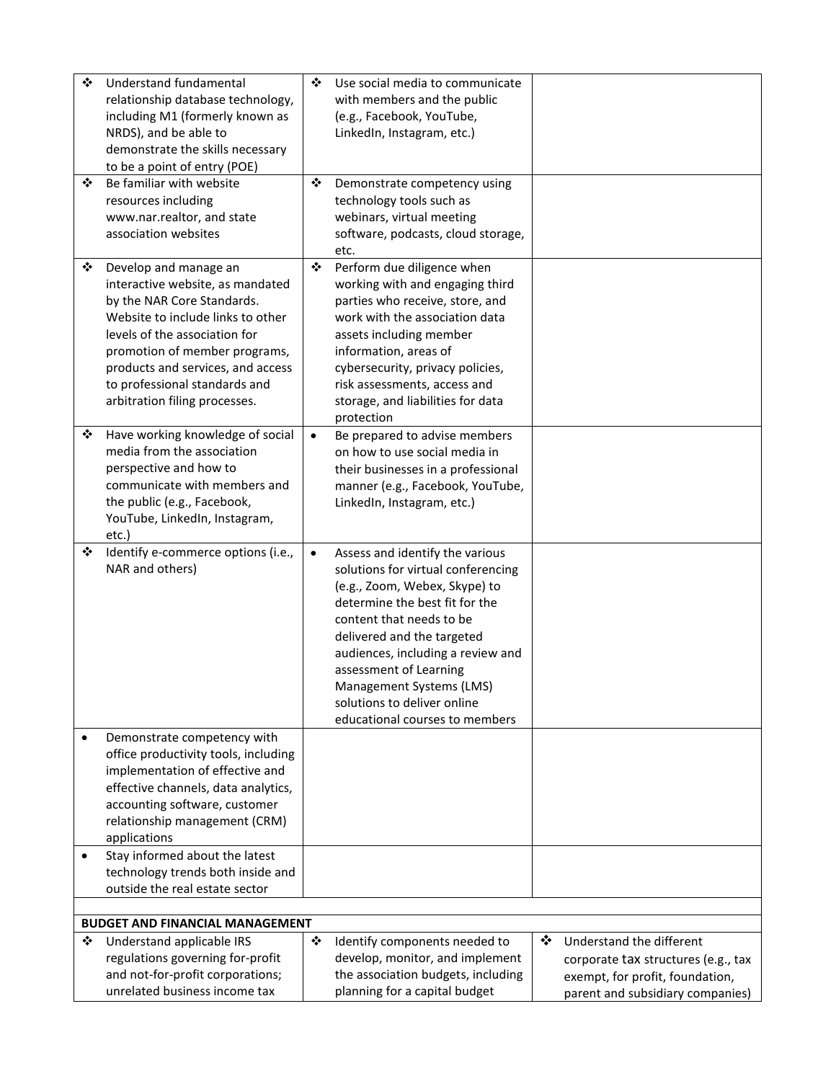| ❖         | Understand fundamental<br>relationship database technology,<br>including M1 (formerly known as<br>NRDS), and be able to<br>demonstrate the skills necessary<br>to be a point of entry (POE)                                                                                                           | ❖         | Use social media to communicate<br>with members and the public<br>(e.g., Facebook, YouTube,<br>LinkedIn, Instagram, etc.)                                                                                                                                                                                                                                      |   |                                                                                                                                        |
|-----------|-------------------------------------------------------------------------------------------------------------------------------------------------------------------------------------------------------------------------------------------------------------------------------------------------------|-----------|----------------------------------------------------------------------------------------------------------------------------------------------------------------------------------------------------------------------------------------------------------------------------------------------------------------------------------------------------------------|---|----------------------------------------------------------------------------------------------------------------------------------------|
| ❖         | Be familiar with website<br>resources including<br>www.nar.realtor, and state<br>association websites                                                                                                                                                                                                 | ❖         | Demonstrate competency using<br>technology tools such as<br>webinars, virtual meeting<br>software, podcasts, cloud storage,<br>etc.                                                                                                                                                                                                                            |   |                                                                                                                                        |
| ❖         | Develop and manage an<br>interactive website, as mandated<br>by the NAR Core Standards.<br>Website to include links to other<br>levels of the association for<br>promotion of member programs,<br>products and services, and access<br>to professional standards and<br>arbitration filing processes. | ❖         | Perform due diligence when<br>working with and engaging third<br>parties who receive, store, and<br>work with the association data<br>assets including member<br>information, areas of<br>cybersecurity, privacy policies,<br>risk assessments, access and<br>storage, and liabilities for data<br>protection                                                  |   |                                                                                                                                        |
| ❖         | Have working knowledge of social<br>media from the association<br>perspective and how to<br>communicate with members and<br>the public (e.g., Facebook,<br>YouTube, LinkedIn, Instagram,<br>etc.)                                                                                                     | $\bullet$ | Be prepared to advise members<br>on how to use social media in<br>their businesses in a professional<br>manner (e.g., Facebook, YouTube,<br>LinkedIn, Instagram, etc.)                                                                                                                                                                                         |   |                                                                                                                                        |
| ❖         | Identify e-commerce options (i.e.,<br>NAR and others)                                                                                                                                                                                                                                                 | $\bullet$ | Assess and identify the various<br>solutions for virtual conferencing<br>(e.g., Zoom, Webex, Skype) to<br>determine the best fit for the<br>content that needs to be<br>delivered and the targeted<br>audiences, including a review and<br>assessment of Learning<br>Management Systems (LMS)<br>solutions to deliver online<br>educational courses to members |   |                                                                                                                                        |
| $\bullet$ | Demonstrate competency with<br>office productivity tools, including<br>implementation of effective and<br>effective channels, data analytics,<br>accounting software, customer<br>relationship management (CRM)<br>applications                                                                       |           |                                                                                                                                                                                                                                                                                                                                                                |   |                                                                                                                                        |
| $\bullet$ | Stay informed about the latest<br>technology trends both inside and<br>outside the real estate sector                                                                                                                                                                                                 |           |                                                                                                                                                                                                                                                                                                                                                                |   |                                                                                                                                        |
|           | <b>BUDGET AND FINANCIAL MANAGEMENT</b>                                                                                                                                                                                                                                                                |           |                                                                                                                                                                                                                                                                                                                                                                |   |                                                                                                                                        |
| ❖         | Understand applicable IRS<br>regulations governing for-profit<br>and not-for-profit corporations;<br>unrelated business income tax                                                                                                                                                                    | ❖         | Identify components needed to<br>develop, monitor, and implement<br>the association budgets, including<br>planning for a capital budget                                                                                                                                                                                                                        | ❖ | Understand the different<br>corporate tax structures (e.g., tax<br>exempt, for profit, foundation,<br>parent and subsidiary companies) |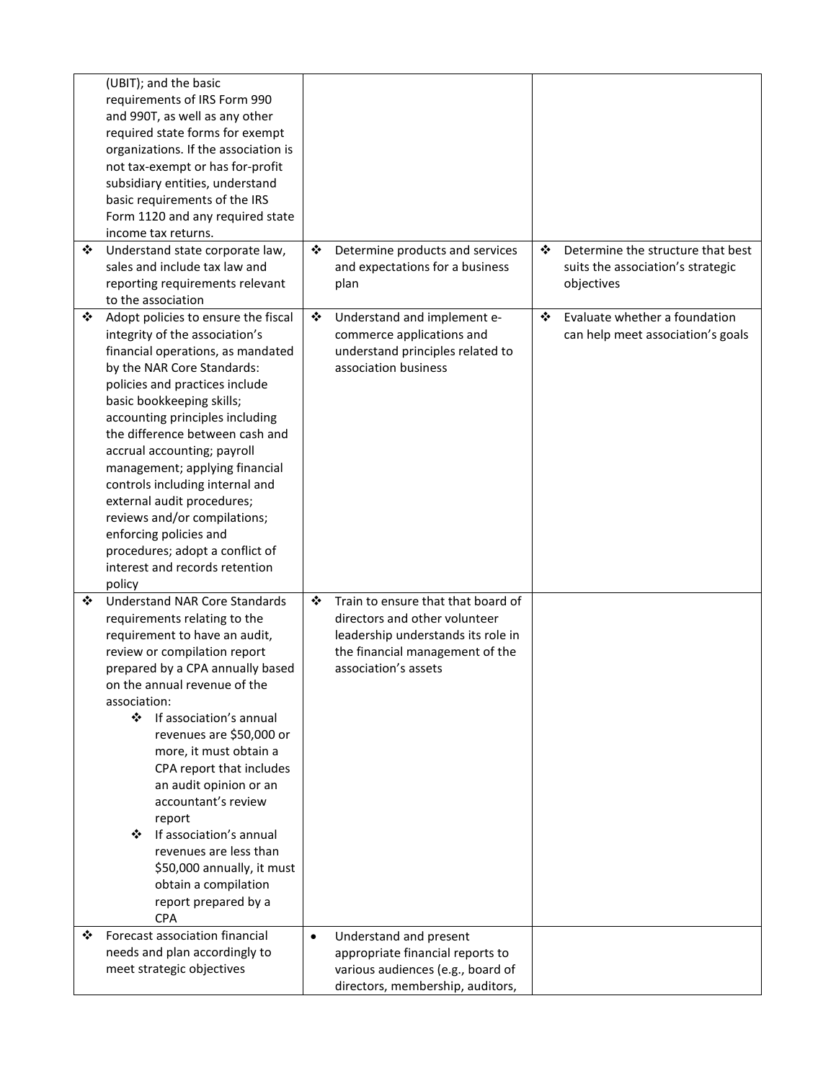|   | (UBIT); and the basic<br>requirements of IRS Form 990<br>and 990T, as well as any other<br>required state forms for exempt<br>organizations. If the association is<br>not tax-exempt or has for-profit<br>subsidiary entities, understand<br>basic requirements of the IRS<br>Form 1120 and any required state<br>income tax returns.                                                                                                                                                                                                                     |           |                                                                                                                                                                      |   |                                                                                      |
|---|-----------------------------------------------------------------------------------------------------------------------------------------------------------------------------------------------------------------------------------------------------------------------------------------------------------------------------------------------------------------------------------------------------------------------------------------------------------------------------------------------------------------------------------------------------------|-----------|----------------------------------------------------------------------------------------------------------------------------------------------------------------------|---|--------------------------------------------------------------------------------------|
| ❖ | Understand state corporate law,<br>sales and include tax law and<br>reporting requirements relevant<br>to the association                                                                                                                                                                                                                                                                                                                                                                                                                                 | ❖         | Determine products and services<br>and expectations for a business<br>plan                                                                                           | ❖ | Determine the structure that best<br>suits the association's strategic<br>objectives |
| ❖ | Adopt policies to ensure the fiscal<br>integrity of the association's<br>financial operations, as mandated<br>by the NAR Core Standards:<br>policies and practices include<br>basic bookkeeping skills;<br>accounting principles including<br>the difference between cash and<br>accrual accounting; payroll<br>management; applying financial<br>controls including internal and<br>external audit procedures;<br>reviews and/or compilations;<br>enforcing policies and<br>procedures; adopt a conflict of<br>interest and records retention<br>policy  | ❖         | Understand and implement e-<br>commerce applications and<br>understand principles related to<br>association business                                                 | ❖ | Evaluate whether a foundation<br>can help meet association's goals                   |
| ❖ | <b>Understand NAR Core Standards</b><br>requirements relating to the<br>requirement to have an audit,<br>review or compilation report<br>prepared by a CPA annually based<br>on the annual revenue of the<br>association:<br>❖ If association's annual<br>revenues are \$50,000 or<br>more, it must obtain a<br>CPA report that includes<br>an audit opinion or an<br>accountant's review<br>report<br>If association's annual<br>❖<br>revenues are less than<br>\$50,000 annually, it must<br>obtain a compilation<br>report prepared by a<br><b>CPA</b> | ❖         | Train to ensure that that board of<br>directors and other volunteer<br>leadership understands its role in<br>the financial management of the<br>association's assets |   |                                                                                      |
| ❖ | Forecast association financial<br>needs and plan accordingly to<br>meet strategic objectives                                                                                                                                                                                                                                                                                                                                                                                                                                                              | $\bullet$ | Understand and present<br>appropriate financial reports to<br>various audiences (e.g., board of<br>directors, membership, auditors,                                  |   |                                                                                      |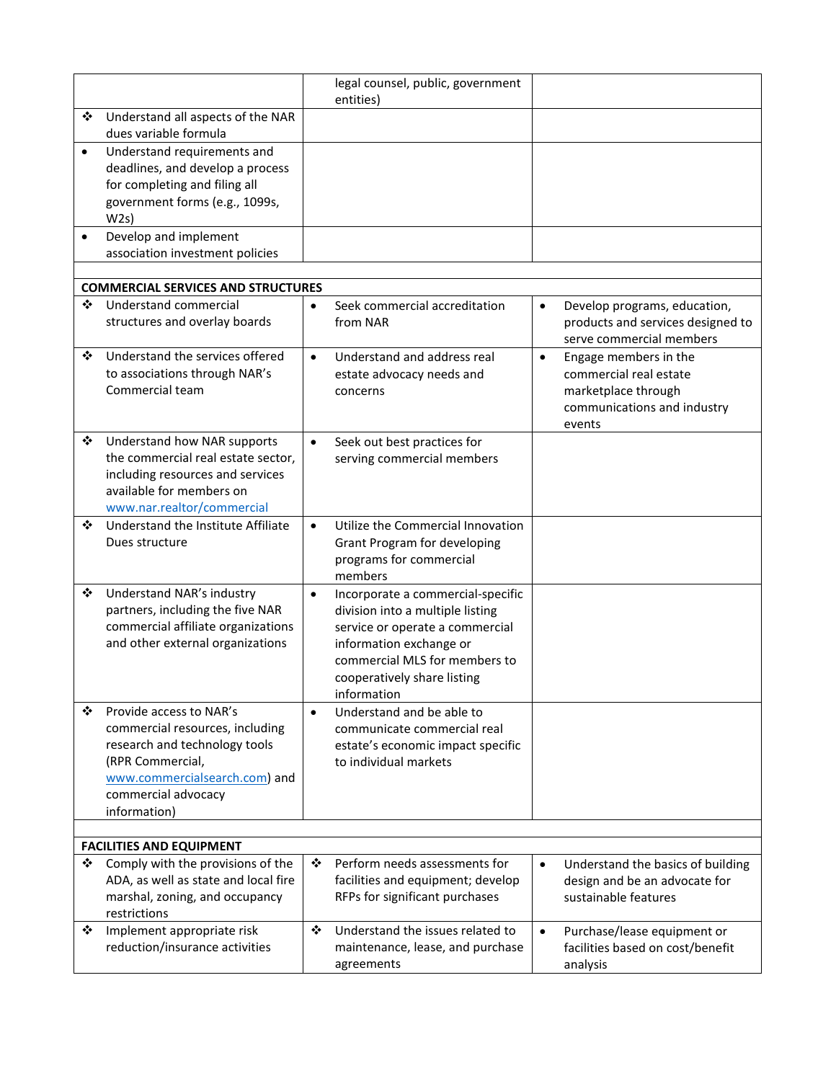|           |                                                                                                                                                                                         |           | legal counsel, public, government<br>entities)                                                                                                                                                                     |           |                                                                                                                 |
|-----------|-----------------------------------------------------------------------------------------------------------------------------------------------------------------------------------------|-----------|--------------------------------------------------------------------------------------------------------------------------------------------------------------------------------------------------------------------|-----------|-----------------------------------------------------------------------------------------------------------------|
| ❖         | Understand all aspects of the NAR<br>dues variable formula                                                                                                                              |           |                                                                                                                                                                                                                    |           |                                                                                                                 |
| $\bullet$ | Understand requirements and<br>deadlines, and develop a process<br>for completing and filing all<br>government forms (e.g., 1099s,<br>W2s)                                              |           |                                                                                                                                                                                                                    |           |                                                                                                                 |
| $\bullet$ | Develop and implement<br>association investment policies                                                                                                                                |           |                                                                                                                                                                                                                    |           |                                                                                                                 |
|           |                                                                                                                                                                                         |           |                                                                                                                                                                                                                    |           |                                                                                                                 |
|           | <b>COMMERCIAL SERVICES AND STRUCTURES</b>                                                                                                                                               |           |                                                                                                                                                                                                                    |           |                                                                                                                 |
| ❖         | Understand commercial<br>structures and overlay boards                                                                                                                                  | $\bullet$ | Seek commercial accreditation<br>from NAR                                                                                                                                                                          | $\bullet$ | Develop programs, education,<br>products and services designed to<br>serve commercial members                   |
| ❖         | Understand the services offered<br>to associations through NAR's<br>Commercial team                                                                                                     | $\bullet$ | Understand and address real<br>estate advocacy needs and<br>concerns                                                                                                                                               | $\bullet$ | Engage members in the<br>commercial real estate<br>marketplace through<br>communications and industry<br>events |
| ❖         | Understand how NAR supports<br>the commercial real estate sector,<br>including resources and services<br>available for members on<br>www.nar.realtor/commercial                         | $\bullet$ | Seek out best practices for<br>serving commercial members                                                                                                                                                          |           |                                                                                                                 |
| ❖         | Understand the Institute Affiliate<br>Dues structure                                                                                                                                    | $\bullet$ | Utilize the Commercial Innovation<br>Grant Program for developing<br>programs for commercial<br>members                                                                                                            |           |                                                                                                                 |
| ❖         | Understand NAR's industry<br>partners, including the five NAR<br>commercial affiliate organizations<br>and other external organizations                                                 | $\bullet$ | Incorporate a commercial-specific<br>division into a multiple listing<br>service or operate a commercial<br>information exchange or<br>commercial MLS for members to<br>cooperatively share listing<br>information |           |                                                                                                                 |
| ❖         | Provide access to NAR's<br>commercial resources, including<br>research and technology tools<br>(RPR Commercial,<br>www.commercialsearch.com) and<br>commercial advocacy<br>information) | $\bullet$ | Understand and be able to<br>communicate commercial real<br>estate's economic impact specific<br>to individual markets                                                                                             |           |                                                                                                                 |
|           |                                                                                                                                                                                         |           |                                                                                                                                                                                                                    |           |                                                                                                                 |
| ❖         | <b>FACILITIES AND EQUIPMENT</b><br>Comply with the provisions of the<br>ADA, as well as state and local fire<br>marshal, zoning, and occupancy<br>restrictions                          | ❖         | Perform needs assessments for<br>facilities and equipment; develop<br>RFPs for significant purchases                                                                                                               | $\bullet$ | Understand the basics of building<br>design and be an advocate for<br>sustainable features                      |
| ❖         | Implement appropriate risk<br>reduction/insurance activities                                                                                                                            | ❖         | Understand the issues related to<br>maintenance, lease, and purchase<br>agreements                                                                                                                                 | $\bullet$ | Purchase/lease equipment or<br>facilities based on cost/benefit<br>analysis                                     |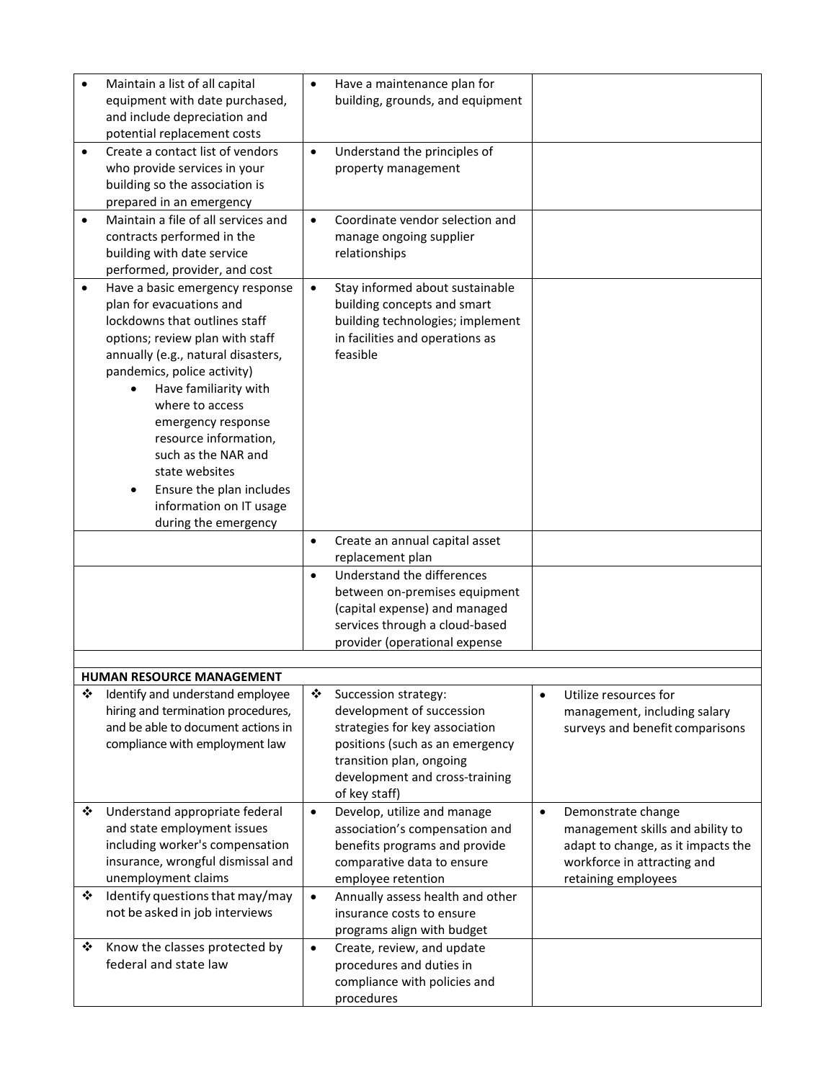|           | Maintain a list of all capital<br>equipment with date purchased,<br>and include depreciation and<br>potential replacement costs                                                                                                                                                                                                                                                                                         | $\bullet$ | Have a maintenance plan for<br>building, grounds, and equipment                                                                                                                                       |           |                                                                                                                                                    |
|-----------|-------------------------------------------------------------------------------------------------------------------------------------------------------------------------------------------------------------------------------------------------------------------------------------------------------------------------------------------------------------------------------------------------------------------------|-----------|-------------------------------------------------------------------------------------------------------------------------------------------------------------------------------------------------------|-----------|----------------------------------------------------------------------------------------------------------------------------------------------------|
| $\bullet$ | Create a contact list of vendors<br>who provide services in your<br>building so the association is<br>prepared in an emergency                                                                                                                                                                                                                                                                                          | $\bullet$ | Understand the principles of<br>property management                                                                                                                                                   |           |                                                                                                                                                    |
| $\bullet$ | Maintain a file of all services and<br>contracts performed in the<br>building with date service<br>performed, provider, and cost                                                                                                                                                                                                                                                                                        | $\bullet$ | Coordinate vendor selection and<br>manage ongoing supplier<br>relationships                                                                                                                           |           |                                                                                                                                                    |
| $\bullet$ | Have a basic emergency response<br>plan for evacuations and<br>lockdowns that outlines staff<br>options; review plan with staff<br>annually (e.g., natural disasters,<br>pandemics, police activity)<br>Have familiarity with<br>where to access<br>emergency response<br>resource information,<br>such as the NAR and<br>state websites<br>Ensure the plan includes<br>information on IT usage<br>during the emergency | $\bullet$ | Stay informed about sustainable<br>building concepts and smart<br>building technologies; implement<br>in facilities and operations as<br>feasible                                                     |           |                                                                                                                                                    |
|           |                                                                                                                                                                                                                                                                                                                                                                                                                         | $\bullet$ | Create an annual capital asset<br>replacement plan                                                                                                                                                    |           |                                                                                                                                                    |
|           |                                                                                                                                                                                                                                                                                                                                                                                                                         | $\bullet$ | Understand the differences<br>between on-premises equipment<br>(capital expense) and managed<br>services through a cloud-based<br>provider (operational expense                                       |           |                                                                                                                                                    |
|           | HUMAN RESOURCE MANAGEMENT                                                                                                                                                                                                                                                                                                                                                                                               |           |                                                                                                                                                                                                       |           |                                                                                                                                                    |
| ❖         | Identify and understand employee<br>hiring and termination procedures,<br>and be able to document actions in<br>compliance with employment law                                                                                                                                                                                                                                                                          | ❖         | Succession strategy:<br>development of succession<br>strategies for key association<br>positions (such as an emergency<br>transition plan, ongoing<br>development and cross-training<br>of key staff) | $\bullet$ | Utilize resources for<br>management, including salary<br>surveys and benefit comparisons                                                           |
| ❖<br>❖    | Understand appropriate federal<br>and state employment issues<br>including worker's compensation<br>insurance, wrongful dismissal and<br>unemployment claims<br>Identify questions that may/may                                                                                                                                                                                                                         | $\bullet$ | Develop, utilize and manage<br>association's compensation and<br>benefits programs and provide<br>comparative data to ensure<br>employee retention                                                    | $\bullet$ | Demonstrate change<br>management skills and ability to<br>adapt to change, as it impacts the<br>workforce in attracting and<br>retaining employees |
|           | not be asked in job interviews                                                                                                                                                                                                                                                                                                                                                                                          | $\bullet$ | Annually assess health and other<br>insurance costs to ensure<br>programs align with budget                                                                                                           |           |                                                                                                                                                    |
| ❖         | Know the classes protected by<br>federal and state law                                                                                                                                                                                                                                                                                                                                                                  | $\bullet$ | Create, review, and update<br>procedures and duties in<br>compliance with policies and<br>procedures                                                                                                  |           |                                                                                                                                                    |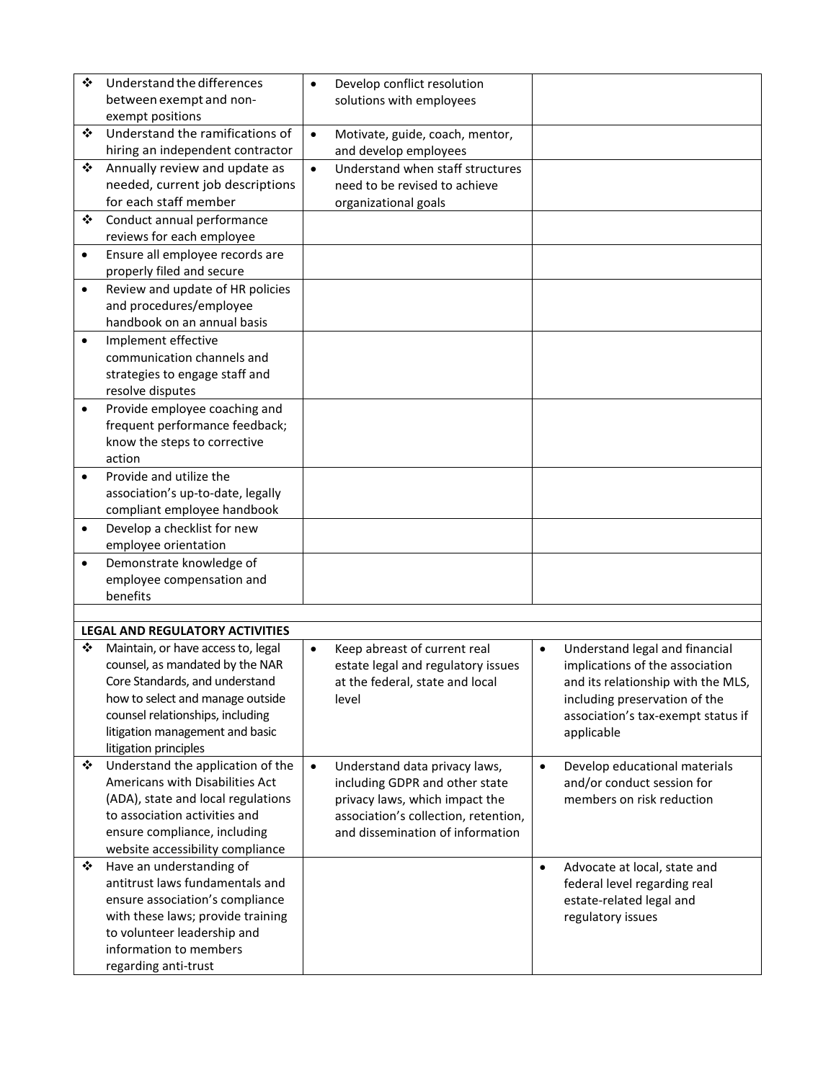| ❖         | Understand the differences<br>between exempt and non-               | $\bullet$ | Develop conflict resolution<br>solutions with employees |           |                                                          |
|-----------|---------------------------------------------------------------------|-----------|---------------------------------------------------------|-----------|----------------------------------------------------------|
|           | exempt positions                                                    |           |                                                         |           |                                                          |
| ❖         | Understand the ramifications of                                     | $\bullet$ | Motivate, guide, coach, mentor,                         |           |                                                          |
|           | hiring an independent contractor                                    |           | and develop employees                                   |           |                                                          |
| ❖         | Annually review and update as                                       | $\bullet$ | Understand when staff structures                        |           |                                                          |
|           | needed, current job descriptions                                    |           | need to be revised to achieve                           |           |                                                          |
| ❖         | for each staff member                                               |           | organizational goals                                    |           |                                                          |
|           | Conduct annual performance<br>reviews for each employee             |           |                                                         |           |                                                          |
| $\bullet$ | Ensure all employee records are                                     |           |                                                         |           |                                                          |
|           | properly filed and secure                                           |           |                                                         |           |                                                          |
| $\bullet$ | Review and update of HR policies                                    |           |                                                         |           |                                                          |
|           | and procedures/employee                                             |           |                                                         |           |                                                          |
|           | handbook on an annual basis                                         |           |                                                         |           |                                                          |
| $\bullet$ | Implement effective                                                 |           |                                                         |           |                                                          |
|           | communication channels and                                          |           |                                                         |           |                                                          |
|           | strategies to engage staff and                                      |           |                                                         |           |                                                          |
|           | resolve disputes                                                    |           |                                                         |           |                                                          |
| $\bullet$ | Provide employee coaching and<br>frequent performance feedback;     |           |                                                         |           |                                                          |
|           | know the steps to corrective                                        |           |                                                         |           |                                                          |
|           | action                                                              |           |                                                         |           |                                                          |
| $\bullet$ | Provide and utilize the                                             |           |                                                         |           |                                                          |
|           | association's up-to-date, legally                                   |           |                                                         |           |                                                          |
|           | compliant employee handbook                                         |           |                                                         |           |                                                          |
| $\bullet$ | Develop a checklist for new                                         |           |                                                         |           |                                                          |
|           | employee orientation                                                |           |                                                         |           |                                                          |
| $\bullet$ | Demonstrate knowledge of                                            |           |                                                         |           |                                                          |
|           | employee compensation and<br>benefits                               |           |                                                         |           |                                                          |
|           |                                                                     |           |                                                         |           |                                                          |
|           | <b>LEGAL AND REGULATORY ACTIVITIES</b>                              |           |                                                         |           |                                                          |
| ❖         | Maintain, or have access to, legal                                  | $\bullet$ | Keep abreast of current real                            | $\bullet$ | Understand legal and financial                           |
|           | counsel, as mandated by the NAR                                     |           | estate legal and regulatory issues                      |           | implications of the association                          |
|           | Core Standards, and understand                                      |           | at the federal, state and local                         |           | and its relationship with the MLS,                       |
|           | how to select and manage outside                                    |           | level                                                   |           | including preservation of the                            |
|           | counsel relationships, including<br>litigation management and basic |           |                                                         |           | association's tax-exempt status if<br>applicable         |
|           | litigation principles                                               |           |                                                         |           |                                                          |
| ❖         | Understand the application of the                                   | $\bullet$ | Understand data privacy laws,                           | $\bullet$ | Develop educational materials                            |
|           | Americans with Disabilities Act                                     |           | including GDPR and other state                          |           | and/or conduct session for                               |
|           | (ADA), state and local regulations                                  |           | privacy laws, which impact the                          |           | members on risk reduction                                |
|           | to association activities and                                       |           | association's collection, retention,                    |           |                                                          |
|           | ensure compliance, including                                        |           | and dissemination of information                        |           |                                                          |
|           | website accessibility compliance                                    |           |                                                         |           |                                                          |
| ❖         | Have an understanding of<br>antitrust laws fundamentals and         |           |                                                         | $\bullet$ | Advocate at local, state and                             |
|           | ensure association's compliance                                     |           |                                                         |           | federal level regarding real<br>estate-related legal and |
|           | with these laws; provide training                                   |           |                                                         |           | regulatory issues                                        |
|           | to volunteer leadership and                                         |           |                                                         |           |                                                          |
|           | information to members                                              |           |                                                         |           |                                                          |
|           | regarding anti-trust                                                |           |                                                         |           |                                                          |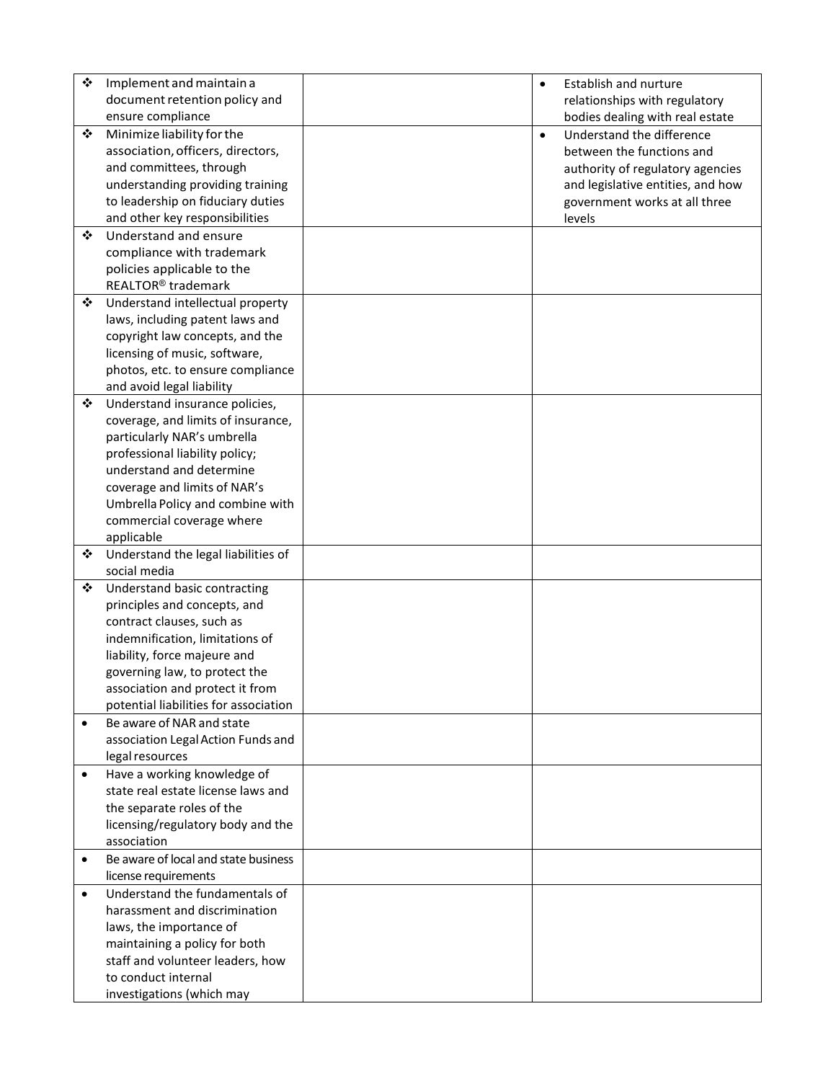| ❖         | Implement and maintain a                            | $\bullet$ | <b>Establish and nurture</b>      |
|-----------|-----------------------------------------------------|-----------|-----------------------------------|
|           | document retention policy and                       |           | relationships with regulatory     |
|           | ensure compliance                                   |           | bodies dealing with real estate   |
| ❖         | Minimize liability for the                          | $\bullet$ | Understand the difference         |
|           | association, officers, directors,                   |           | between the functions and         |
|           | and committees, through                             |           | authority of regulatory agencies  |
|           | understanding providing training                    |           | and legislative entities, and how |
|           | to leadership on fiduciary duties                   |           | government works at all three     |
|           | and other key responsibilities                      |           | levels                            |
| ❖         | Understand and ensure                               |           |                                   |
|           | compliance with trademark                           |           |                                   |
|           | policies applicable to the                          |           |                                   |
|           | REALTOR <sup>®</sup> trademark                      |           |                                   |
| ❖         | Understand intellectual property                    |           |                                   |
|           | laws, including patent laws and                     |           |                                   |
|           | copyright law concepts, and the                     |           |                                   |
|           | licensing of music, software,                       |           |                                   |
|           | photos, etc. to ensure compliance                   |           |                                   |
|           | and avoid legal liability                           |           |                                   |
| ❖         | Understand insurance policies,                      |           |                                   |
|           | coverage, and limits of insurance,                  |           |                                   |
|           | particularly NAR's umbrella                         |           |                                   |
|           | professional liability policy;                      |           |                                   |
|           | understand and determine                            |           |                                   |
|           | coverage and limits of NAR's                        |           |                                   |
|           | Umbrella Policy and combine with                    |           |                                   |
|           | commercial coverage where                           |           |                                   |
| ❖         | applicable                                          |           |                                   |
|           | Understand the legal liabilities of<br>social media |           |                                   |
| ❖         | Understand basic contracting                        |           |                                   |
|           | principles and concepts, and                        |           |                                   |
|           | contract clauses, such as                           |           |                                   |
|           | indemnification, limitations of                     |           |                                   |
|           | liability, force majeure and                        |           |                                   |
|           | governing law, to protect the                       |           |                                   |
|           | association and protect it from                     |           |                                   |
|           | potential liabilities for association               |           |                                   |
| $\bullet$ | Be aware of NAR and state                           |           |                                   |
|           | association Legal Action Funds and                  |           |                                   |
|           | legal resources                                     |           |                                   |
| ٠         | Have a working knowledge of                         |           |                                   |
|           | state real estate license laws and                  |           |                                   |
|           | the separate roles of the                           |           |                                   |
|           | licensing/regulatory body and the                   |           |                                   |
|           | association                                         |           |                                   |
| $\bullet$ | Be aware of local and state business                |           |                                   |
|           | license requirements                                |           |                                   |
| $\bullet$ | Understand the fundamentals of                      |           |                                   |
|           | harassment and discrimination                       |           |                                   |
|           | laws, the importance of                             |           |                                   |
|           | maintaining a policy for both                       |           |                                   |
|           | staff and volunteer leaders, how                    |           |                                   |
|           | to conduct internal                                 |           |                                   |
|           | investigations (which may                           |           |                                   |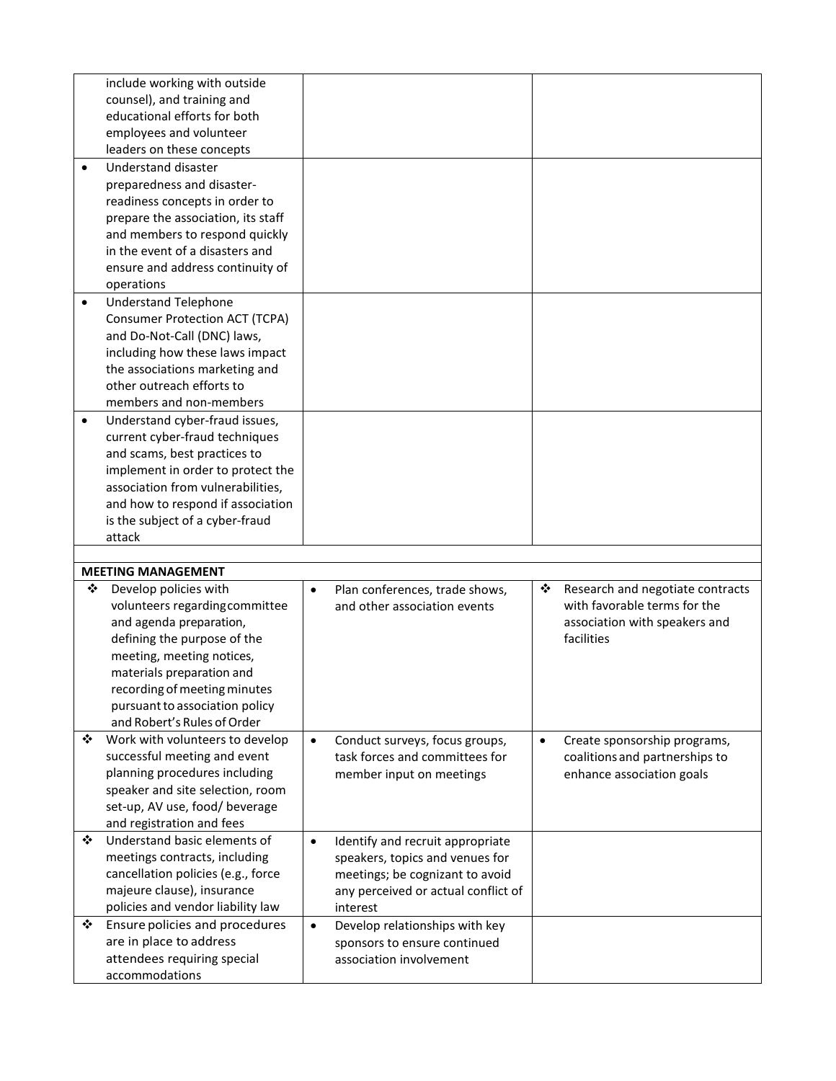|           | include working with outside          |           |                                     |           |                                  |
|-----------|---------------------------------------|-----------|-------------------------------------|-----------|----------------------------------|
|           | counsel), and training and            |           |                                     |           |                                  |
|           | educational efforts for both          |           |                                     |           |                                  |
|           | employees and volunteer               |           |                                     |           |                                  |
|           | leaders on these concepts             |           |                                     |           |                                  |
| $\bullet$ | <b>Understand disaster</b>            |           |                                     |           |                                  |
|           | preparedness and disaster-            |           |                                     |           |                                  |
|           | readiness concepts in order to        |           |                                     |           |                                  |
|           | prepare the association, its staff    |           |                                     |           |                                  |
|           | and members to respond quickly        |           |                                     |           |                                  |
|           | in the event of a disasters and       |           |                                     |           |                                  |
|           | ensure and address continuity of      |           |                                     |           |                                  |
|           | operations                            |           |                                     |           |                                  |
| $\bullet$ | <b>Understand Telephone</b>           |           |                                     |           |                                  |
|           | <b>Consumer Protection ACT (TCPA)</b> |           |                                     |           |                                  |
|           | and Do-Not-Call (DNC) laws,           |           |                                     |           |                                  |
|           | including how these laws impact       |           |                                     |           |                                  |
|           | the associations marketing and        |           |                                     |           |                                  |
|           | other outreach efforts to             |           |                                     |           |                                  |
|           | members and non-members               |           |                                     |           |                                  |
| $\bullet$ | Understand cyber-fraud issues,        |           |                                     |           |                                  |
|           | current cyber-fraud techniques        |           |                                     |           |                                  |
|           | and scams, best practices to          |           |                                     |           |                                  |
|           | implement in order to protect the     |           |                                     |           |                                  |
|           | association from vulnerabilities,     |           |                                     |           |                                  |
|           | and how to respond if association     |           |                                     |           |                                  |
|           | is the subject of a cyber-fraud       |           |                                     |           |                                  |
|           | attack                                |           |                                     |           |                                  |
|           |                                       |           |                                     |           |                                  |
|           | <b>MEETING MANAGEMENT</b>             |           |                                     |           |                                  |
| ❖         | Develop policies with                 | $\bullet$ | Plan conferences, trade shows,      | ❖         | Research and negotiate contracts |
|           | volunteers regarding committee        |           | and other association events        |           | with favorable terms for the     |
|           | and agenda preparation,               |           |                                     |           | association with speakers and    |
|           | defining the purpose of the           |           |                                     |           |                                  |
|           |                                       |           |                                     |           | facilities                       |
|           | meeting, meeting notices,             |           |                                     |           |                                  |
|           | materials preparation and             |           |                                     |           |                                  |
|           | recording of meeting minutes          |           |                                     |           |                                  |
|           | pursuant to association policy        |           |                                     |           |                                  |
|           | and Robert's Rules of Order           |           |                                     |           |                                  |
| ❖         | Work with volunteers to develop       | $\bullet$ | Conduct surveys, focus groups,      | $\bullet$ | Create sponsorship programs,     |
|           | successful meeting and event          |           | task forces and committees for      |           | coalitions and partnerships to   |
|           | planning procedures including         |           | member input on meetings            |           | enhance association goals        |
|           | speaker and site selection, room      |           |                                     |           |                                  |
|           | set-up, AV use, food/ beverage        |           |                                     |           |                                  |
|           | and registration and fees             |           |                                     |           |                                  |
| ❖         | Understand basic elements of          | $\bullet$ | Identify and recruit appropriate    |           |                                  |
|           | meetings contracts, including         |           | speakers, topics and venues for     |           |                                  |
|           | cancellation policies (e.g., force    |           | meetings; be cognizant to avoid     |           |                                  |
|           | majeure clause), insurance            |           | any perceived or actual conflict of |           |                                  |
|           | policies and vendor liability law     |           | interest                            |           |                                  |
| ❖         | Ensure policies and procedures        | $\bullet$ | Develop relationships with key      |           |                                  |
|           | are in place to address               |           | sponsors to ensure continued        |           |                                  |
|           | attendees requiring special           |           | association involvement             |           |                                  |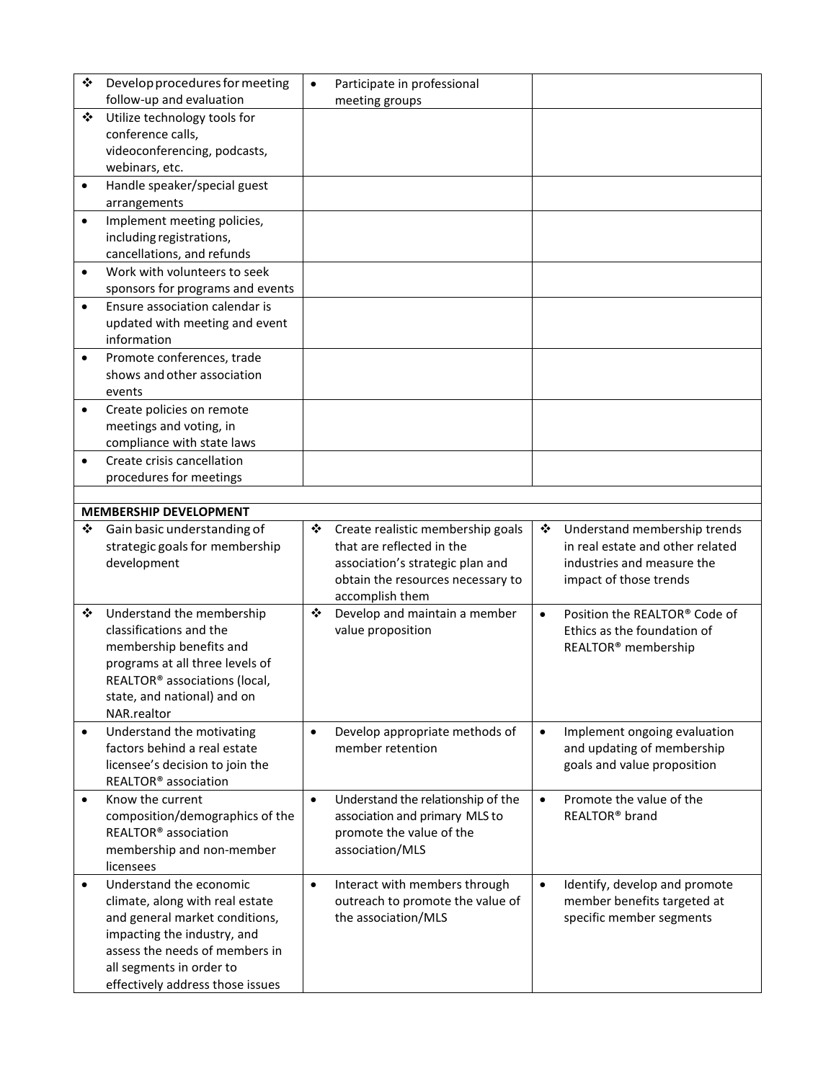| ❖         | Develop procedures for meeting                                | $\bullet$ | Participate in professional        |           |                                  |
|-----------|---------------------------------------------------------------|-----------|------------------------------------|-----------|----------------------------------|
|           | follow-up and evaluation                                      |           | meeting groups                     |           |                                  |
| ❖         | Utilize technology tools for<br>conference calls,             |           |                                    |           |                                  |
|           | videoconferencing, podcasts,                                  |           |                                    |           |                                  |
|           | webinars, etc.                                                |           |                                    |           |                                  |
| $\bullet$ | Handle speaker/special guest                                  |           |                                    |           |                                  |
|           | arrangements                                                  |           |                                    |           |                                  |
| $\bullet$ | Implement meeting policies,                                   |           |                                    |           |                                  |
|           | including registrations,                                      |           |                                    |           |                                  |
|           | cancellations, and refunds                                    |           |                                    |           |                                  |
| $\bullet$ | Work with volunteers to seek                                  |           |                                    |           |                                  |
|           | sponsors for programs and events                              |           |                                    |           |                                  |
| $\bullet$ | Ensure association calendar is                                |           |                                    |           |                                  |
|           | updated with meeting and event                                |           |                                    |           |                                  |
|           | information                                                   |           |                                    |           |                                  |
| $\bullet$ | Promote conferences, trade                                    |           |                                    |           |                                  |
|           | shows and other association                                   |           |                                    |           |                                  |
|           | events                                                        |           |                                    |           |                                  |
| $\bullet$ | Create policies on remote                                     |           |                                    |           |                                  |
|           | meetings and voting, in                                       |           |                                    |           |                                  |
|           | compliance with state laws                                    |           |                                    |           |                                  |
| $\bullet$ | Create crisis cancellation                                    |           |                                    |           |                                  |
|           | procedures for meetings                                       |           |                                    |           |                                  |
|           |                                                               |           |                                    |           |                                  |
|           | <b>MEMBERSHIP DEVELOPMENT</b>                                 |           |                                    |           |                                  |
| ❖         | Gain basic understanding of                                   | ❖         | Create realistic membership goals  | ❖         | Understand membership trends     |
|           |                                                               |           |                                    |           |                                  |
|           | strategic goals for membership                                |           | that are reflected in the          |           | in real estate and other related |
|           | development                                                   |           | association's strategic plan and   |           | industries and measure the       |
|           |                                                               |           | obtain the resources necessary to  |           | impact of those trends           |
|           |                                                               |           | accomplish them                    |           |                                  |
| ❖         | Understand the membership                                     | ❖         | Develop and maintain a member      | $\bullet$ | Position the REALTOR® Code of    |
|           | classifications and the                                       |           | value proposition                  |           | Ethics as the foundation of      |
|           | membership benefits and<br>programs at all three levels of    |           |                                    |           | REALTOR <sup>®</sup> membership  |
|           | REALTOR® associations (local,                                 |           |                                    |           |                                  |
|           | state, and national) and on                                   |           |                                    |           |                                  |
|           | NAR.realtor                                                   |           |                                    |           |                                  |
| $\bullet$ | Understand the motivating                                     | $\bullet$ | Develop appropriate methods of     | $\bullet$ | Implement ongoing evaluation     |
|           | factors behind a real estate                                  |           | member retention                   |           | and updating of membership       |
|           | licensee's decision to join the                               |           |                                    |           | goals and value proposition      |
|           | REALTOR <sup>®</sup> association                              |           |                                    |           |                                  |
| $\bullet$ | Know the current                                              | $\bullet$ | Understand the relationship of the | $\bullet$ | Promote the value of the         |
|           | composition/demographics of the                               |           | association and primary MLS to     |           | REALTOR <sup>®</sup> brand       |
|           | REALTOR <sup>®</sup> association                              |           | promote the value of the           |           |                                  |
|           | membership and non-member                                     |           | association/MLS                    |           |                                  |
|           | licensees                                                     |           |                                    |           |                                  |
| $\bullet$ | Understand the economic                                       | $\bullet$ | Interact with members through      | $\bullet$ | Identify, develop and promote    |
|           | climate, along with real estate                               |           | outreach to promote the value of   |           | member benefits targeted at      |
|           | and general market conditions,                                |           | the association/MLS                |           | specific member segments         |
|           | impacting the industry, and<br>assess the needs of members in |           |                                    |           |                                  |
|           | all segments in order to                                      |           |                                    |           |                                  |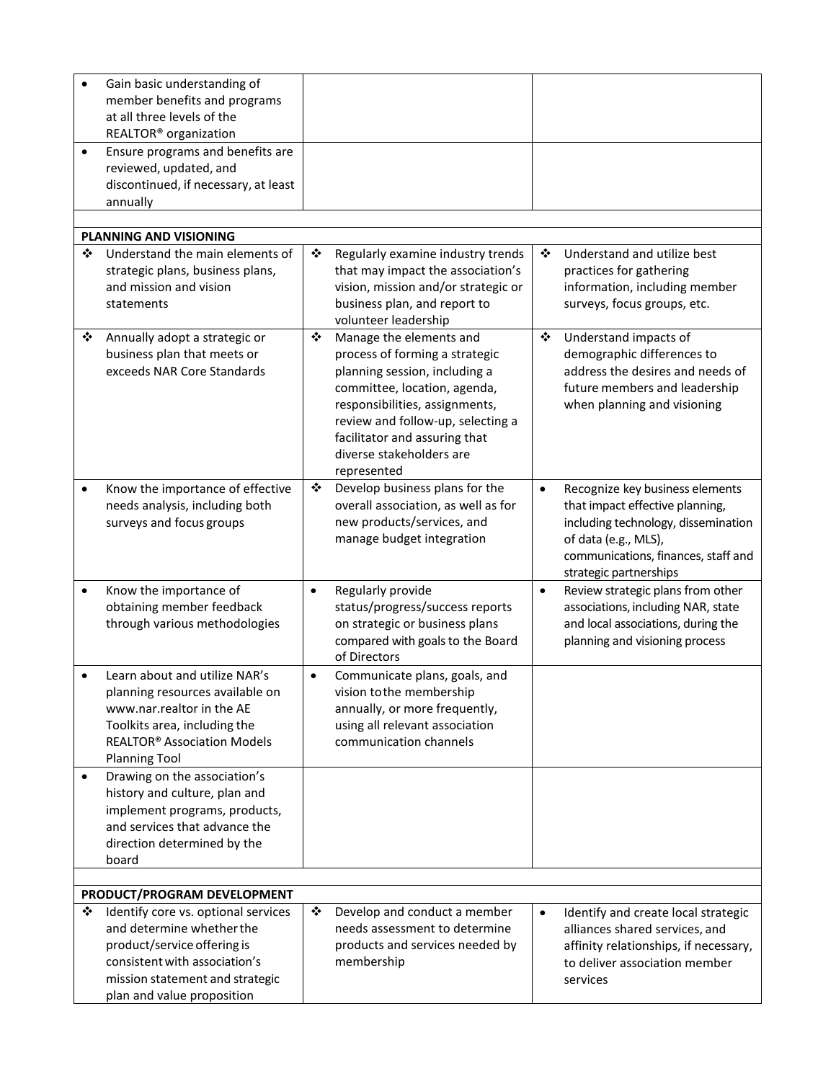|           | Gain basic understanding of                                      |           |                                                               |           |                                       |
|-----------|------------------------------------------------------------------|-----------|---------------------------------------------------------------|-----------|---------------------------------------|
|           | member benefits and programs                                     |           |                                                               |           |                                       |
|           | at all three levels of the                                       |           |                                                               |           |                                       |
|           | REALTOR <sup>®</sup> organization                                |           |                                                               |           |                                       |
| $\bullet$ | Ensure programs and benefits are                                 |           |                                                               |           |                                       |
|           | reviewed, updated, and                                           |           |                                                               |           |                                       |
|           | discontinued, if necessary, at least                             |           |                                                               |           |                                       |
|           | annually                                                         |           |                                                               |           |                                       |
|           |                                                                  |           |                                                               |           |                                       |
|           | <b>PLANNING AND VISIONING</b>                                    |           |                                                               |           |                                       |
| ❖         | Understand the main elements of                                  | ❖         | Regularly examine industry trends                             | ❖         | Understand and utilize best           |
|           | strategic plans, business plans,                                 |           | that may impact the association's                             |           | practices for gathering               |
|           | and mission and vision                                           |           | vision, mission and/or strategic or                           |           | information, including member         |
|           | statements                                                       |           | business plan, and report to                                  |           | surveys, focus groups, etc.           |
|           |                                                                  |           | volunteer leadership                                          |           |                                       |
| ❖         | Annually adopt a strategic or                                    | ❖         | Manage the elements and                                       | ❖         | Understand impacts of                 |
|           | business plan that meets or                                      |           | process of forming a strategic                                |           | demographic differences to            |
|           | exceeds NAR Core Standards                                       |           | planning session, including a                                 |           | address the desires and needs of      |
|           |                                                                  |           | committee, location, agenda,                                  |           | future members and leadership         |
|           |                                                                  |           | responsibilities, assignments,                                |           | when planning and visioning           |
|           |                                                                  |           | review and follow-up, selecting a                             |           |                                       |
|           |                                                                  |           | facilitator and assuring that                                 |           |                                       |
|           |                                                                  |           | diverse stakeholders are                                      |           |                                       |
|           |                                                                  |           | represented                                                   |           |                                       |
|           | Know the importance of effective                                 | ❖         | Develop business plans for the                                | $\bullet$ | Recognize key business elements       |
|           | needs analysis, including both                                   |           | overall association, as well as for                           |           | that impact effective planning,       |
|           | surveys and focus groups                                         |           | new products/services, and                                    |           | including technology, dissemination   |
|           |                                                                  |           | manage budget integration                                     |           | of data (e.g., MLS),                  |
|           |                                                                  |           |                                                               |           | communications, finances, staff and   |
|           |                                                                  |           |                                                               |           | strategic partnerships                |
| $\bullet$ | Know the importance of                                           | $\bullet$ | Regularly provide                                             | $\bullet$ | Review strategic plans from other     |
|           | obtaining member feedback                                        |           | status/progress/success reports                               |           | associations, including NAR, state    |
|           | through various methodologies                                    |           | on strategic or business plans                                |           | and local associations, during the    |
|           |                                                                  |           | compared with goals to the Board                              |           | planning and visioning process        |
|           |                                                                  |           | of Directors                                                  |           |                                       |
|           | Learn about and utilize NAR's                                    | $\bullet$ | Communicate plans, goals, and                                 |           |                                       |
|           | planning resources available on                                  |           | vision to the membership                                      |           |                                       |
|           | www.nar.realtor in the AE                                        |           | annually, or more frequently,                                 |           |                                       |
|           | Toolkits area, including the                                     |           | using all relevant association                                |           |                                       |
|           | <b>REALTOR® Association Models</b>                               |           | communication channels                                        |           |                                       |
|           | <b>Planning Tool</b>                                             |           |                                                               |           |                                       |
| $\bullet$ | Drawing on the association's                                     |           |                                                               |           |                                       |
|           | history and culture, plan and                                    |           |                                                               |           |                                       |
|           | implement programs, products,                                    |           |                                                               |           |                                       |
|           | and services that advance the                                    |           |                                                               |           |                                       |
|           | direction determined by the                                      |           |                                                               |           |                                       |
|           | board                                                            |           |                                                               |           |                                       |
|           |                                                                  |           |                                                               |           |                                       |
|           | PRODUCT/PROGRAM DEVELOPMENT                                      |           |                                                               |           |                                       |
| ❖         | Identify core vs. optional services<br>and determine whether the | ❖         | Develop and conduct a member<br>needs assessment to determine | $\bullet$ | Identify and create local strategic   |
|           |                                                                  |           |                                                               |           | alliances shared services, and        |
|           | product/service offering is<br>consistent with association's     |           | products and services needed by                               |           | affinity relationships, if necessary, |
|           |                                                                  |           | membership                                                    |           | to deliver association member         |
|           | mission statement and strategic                                  |           |                                                               |           | services                              |
|           | plan and value proposition                                       |           |                                                               |           |                                       |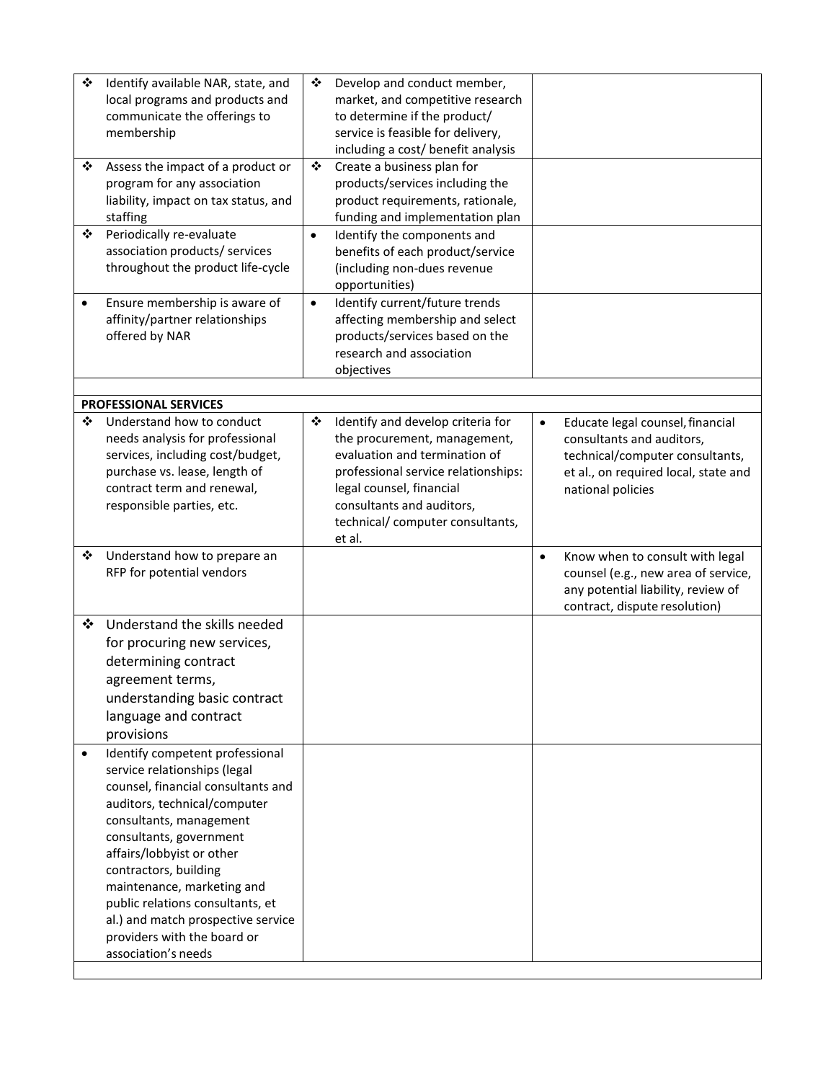| ❖<br>❖    | Identify available NAR, state, and<br>local programs and products and<br>communicate the offerings to<br>membership<br>Assess the impact of a product or<br>program for any association<br>liability, impact on tax status, and                                                                                                                                                                                 | ❖<br>❖    | Develop and conduct member,<br>market, and competitive research<br>to determine if the product/<br>service is feasible for delivery,<br>including a cost/ benefit analysis<br>Create a business plan for<br>products/services including the<br>product requirements, rationale, |           |                                                                                                                                                               |
|-----------|-----------------------------------------------------------------------------------------------------------------------------------------------------------------------------------------------------------------------------------------------------------------------------------------------------------------------------------------------------------------------------------------------------------------|-----------|---------------------------------------------------------------------------------------------------------------------------------------------------------------------------------------------------------------------------------------------------------------------------------|-----------|---------------------------------------------------------------------------------------------------------------------------------------------------------------|
| ❖         | staffing<br>Periodically re-evaluate<br>association products/ services<br>throughout the product life-cycle                                                                                                                                                                                                                                                                                                     | $\bullet$ | funding and implementation plan<br>Identify the components and<br>benefits of each product/service<br>(including non-dues revenue<br>opportunities)                                                                                                                             |           |                                                                                                                                                               |
| $\bullet$ | Ensure membership is aware of<br>affinity/partner relationships<br>offered by NAR                                                                                                                                                                                                                                                                                                                               | $\bullet$ | Identify current/future trends<br>affecting membership and select<br>products/services based on the<br>research and association<br>objectives                                                                                                                                   |           |                                                                                                                                                               |
|           |                                                                                                                                                                                                                                                                                                                                                                                                                 |           |                                                                                                                                                                                                                                                                                 |           |                                                                                                                                                               |
| ❖         | <b>PROFESSIONAL SERVICES</b><br>Understand how to conduct<br>needs analysis for professional<br>services, including cost/budget,<br>purchase vs. lease, length of<br>contract term and renewal,<br>responsible parties, etc.                                                                                                                                                                                    | ❖         | Identify and develop criteria for<br>the procurement, management,<br>evaluation and termination of<br>professional service relationships:<br>legal counsel, financial<br>consultants and auditors,<br>technical/ computer consultants,<br>et al.                                | $\bullet$ | Educate legal counsel, financial<br>consultants and auditors,<br>technical/computer consultants,<br>et al., on required local, state and<br>national policies |
| ❖         | Understand how to prepare an<br>RFP for potential vendors                                                                                                                                                                                                                                                                                                                                                       |           |                                                                                                                                                                                                                                                                                 | $\bullet$ | Know when to consult with legal<br>counsel (e.g., new area of service,<br>any potential liability, review of<br>contract, dispute resolution)                 |
| ❖         | Understand the skills needed<br>for procuring new services,<br>determining contract<br>agreement terms,<br>understanding basic contract<br>language and contract<br>provisions                                                                                                                                                                                                                                  |           |                                                                                                                                                                                                                                                                                 |           |                                                                                                                                                               |
| $\bullet$ | Identify competent professional<br>service relationships (legal<br>counsel, financial consultants and<br>auditors, technical/computer<br>consultants, management<br>consultants, government<br>affairs/lobbyist or other<br>contractors, building<br>maintenance, marketing and<br>public relations consultants, et<br>al.) and match prospective service<br>providers with the board or<br>association's needs |           |                                                                                                                                                                                                                                                                                 |           |                                                                                                                                                               |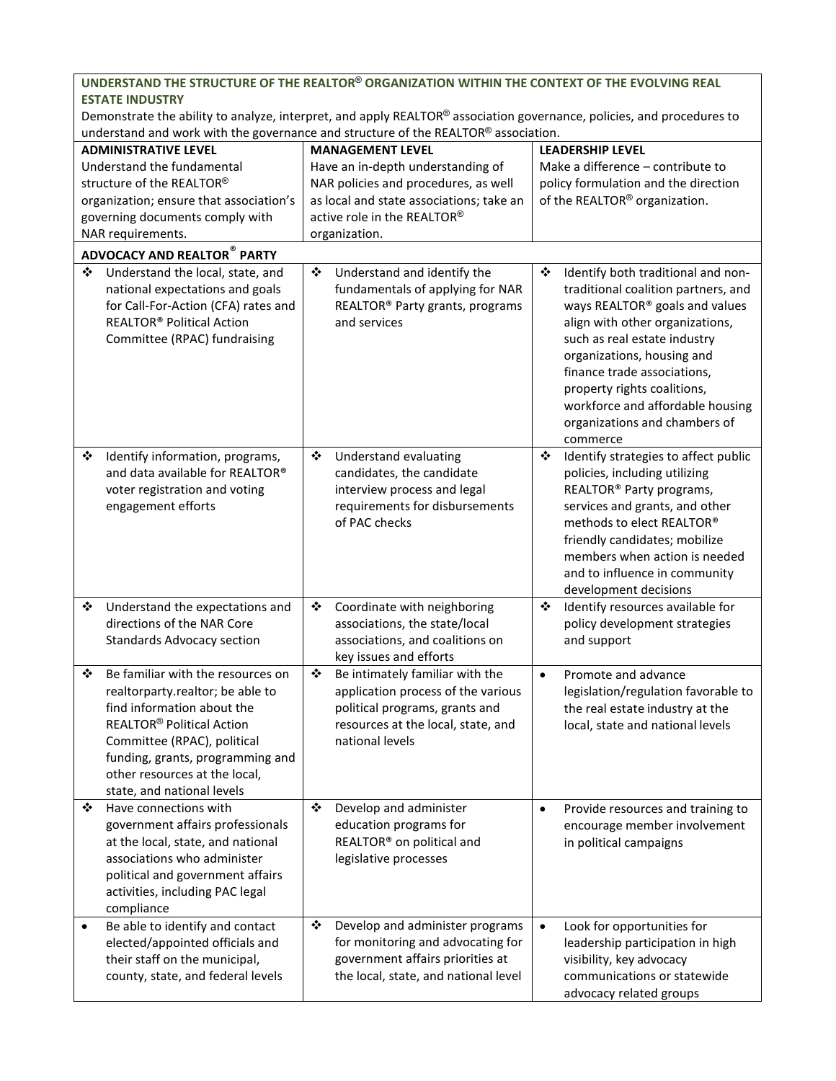|                                                                                                                                                                                                             |                                                                                                                                                                                                                                                                                      |                         | UNDERSTAND THE STRUCTURE OF THE REALTOR® ORGANIZATION WITHIN THE CONTEXT OF THE EVOLVING REAL                                                                    |           |                                                                                                                                                                                                                                                                                                                                                             |  |  |
|-------------------------------------------------------------------------------------------------------------------------------------------------------------------------------------------------------------|--------------------------------------------------------------------------------------------------------------------------------------------------------------------------------------------------------------------------------------------------------------------------------------|-------------------------|------------------------------------------------------------------------------------------------------------------------------------------------------------------|-----------|-------------------------------------------------------------------------------------------------------------------------------------------------------------------------------------------------------------------------------------------------------------------------------------------------------------------------------------------------------------|--|--|
| <b>ESTATE INDUSTRY</b>                                                                                                                                                                                      |                                                                                                                                                                                                                                                                                      |                         |                                                                                                                                                                  |           |                                                                                                                                                                                                                                                                                                                                                             |  |  |
| Demonstrate the ability to analyze, interpret, and apply REALTOR® association governance, policies, and procedures to<br>understand and work with the governance and structure of the REALTOR® association. |                                                                                                                                                                                                                                                                                      |                         |                                                                                                                                                                  |           |                                                                                                                                                                                                                                                                                                                                                             |  |  |
|                                                                                                                                                                                                             |                                                                                                                                                                                                                                                                                      |                         |                                                                                                                                                                  |           |                                                                                                                                                                                                                                                                                                                                                             |  |  |
|                                                                                                                                                                                                             | <b>ADMINISTRATIVE LEVEL</b>                                                                                                                                                                                                                                                          | <b>MANAGEMENT LEVEL</b> |                                                                                                                                                                  |           | <b>LEADERSHIP LEVEL</b>                                                                                                                                                                                                                                                                                                                                     |  |  |
|                                                                                                                                                                                                             | Understand the fundamental<br>structure of the REALTOR®                                                                                                                                                                                                                              |                         | Have an in-depth understanding of                                                                                                                                |           | Make a difference - contribute to<br>policy formulation and the direction                                                                                                                                                                                                                                                                                   |  |  |
|                                                                                                                                                                                                             |                                                                                                                                                                                                                                                                                      |                         | NAR policies and procedures, as well<br>as local and state associations; take an                                                                                 |           |                                                                                                                                                                                                                                                                                                                                                             |  |  |
|                                                                                                                                                                                                             | organization; ensure that association's                                                                                                                                                                                                                                              |                         | active role in the REALTOR®                                                                                                                                      |           | of the REALTOR <sup>®</sup> organization.                                                                                                                                                                                                                                                                                                                   |  |  |
|                                                                                                                                                                                                             | governing documents comply with<br>NAR requirements.                                                                                                                                                                                                                                 |                         | organization.                                                                                                                                                    |           |                                                                                                                                                                                                                                                                                                                                                             |  |  |
|                                                                                                                                                                                                             |                                                                                                                                                                                                                                                                                      |                         |                                                                                                                                                                  |           |                                                                                                                                                                                                                                                                                                                                                             |  |  |
|                                                                                                                                                                                                             | <b>ADVOCACY AND REALTOR® PARTY</b>                                                                                                                                                                                                                                                   |                         |                                                                                                                                                                  |           |                                                                                                                                                                                                                                                                                                                                                             |  |  |
| ❖                                                                                                                                                                                                           | Understand the local, state, and<br>national expectations and goals<br>for Call-For-Action (CFA) rates and<br>REALTOR® Political Action<br>Committee (RPAC) fundraising                                                                                                              | ❖                       | Understand and identify the<br>fundamentals of applying for NAR<br>REALTOR <sup>®</sup> Party grants, programs<br>and services                                   | ❖         | Identify both traditional and non-<br>traditional coalition partners, and<br>ways REALTOR® goals and values<br>align with other organizations,<br>such as real estate industry<br>organizations, housing and<br>finance trade associations,<br>property rights coalitions,<br>workforce and affordable housing<br>organizations and chambers of<br>commerce |  |  |
| ❖                                                                                                                                                                                                           | Identify information, programs,<br>and data available for REALTOR®<br>voter registration and voting<br>engagement efforts                                                                                                                                                            | ❖                       | Understand evaluating<br>candidates, the candidate<br>interview process and legal<br>requirements for disbursements<br>of PAC checks                             | ❖         | Identify strategies to affect public<br>policies, including utilizing<br>REALTOR <sup>®</sup> Party programs,<br>services and grants, and other<br>methods to elect REALTOR®<br>friendly candidates; mobilize<br>members when action is needed<br>and to influence in community<br>development decisions                                                    |  |  |
| ❖                                                                                                                                                                                                           | Understand the expectations and<br>directions of the NAR Core<br><b>Standards Advocacy section</b>                                                                                                                                                                                   | ❖                       | Coordinate with neighboring<br>associations, the state/local<br>associations, and coalitions on<br>key issues and efforts                                        | ❖         | Identify resources available for<br>policy development strategies<br>and support                                                                                                                                                                                                                                                                            |  |  |
| ❖                                                                                                                                                                                                           | Be familiar with the resources on<br>realtorparty.realtor; be able to<br>find information about the<br><b>REALTOR<sup>®</sup> Political Action</b><br>Committee (RPAC), political<br>funding, grants, programming and<br>other resources at the local,<br>state, and national levels | ❖                       | Be intimately familiar with the<br>application process of the various<br>political programs, grants and<br>resources at the local, state, and<br>national levels | $\bullet$ | Promote and advance<br>legislation/regulation favorable to<br>the real estate industry at the<br>local, state and national levels                                                                                                                                                                                                                           |  |  |
| ❖                                                                                                                                                                                                           | Have connections with<br>government affairs professionals<br>at the local, state, and national<br>associations who administer<br>political and government affairs<br>activities, including PAC legal<br>compliance                                                                   | ❖                       | Develop and administer<br>education programs for<br>REALTOR® on political and<br>legislative processes                                                           | $\bullet$ | Provide resources and training to<br>encourage member involvement<br>in political campaigns                                                                                                                                                                                                                                                                 |  |  |
| $\bullet$                                                                                                                                                                                                   | Be able to identify and contact<br>elected/appointed officials and<br>their staff on the municipal,<br>county, state, and federal levels                                                                                                                                             | ❖                       | Develop and administer programs<br>for monitoring and advocating for<br>government affairs priorities at<br>the local, state, and national level                 | $\bullet$ | Look for opportunities for<br>leadership participation in high<br>visibility, key advocacy<br>communications or statewide<br>advocacy related groups                                                                                                                                                                                                        |  |  |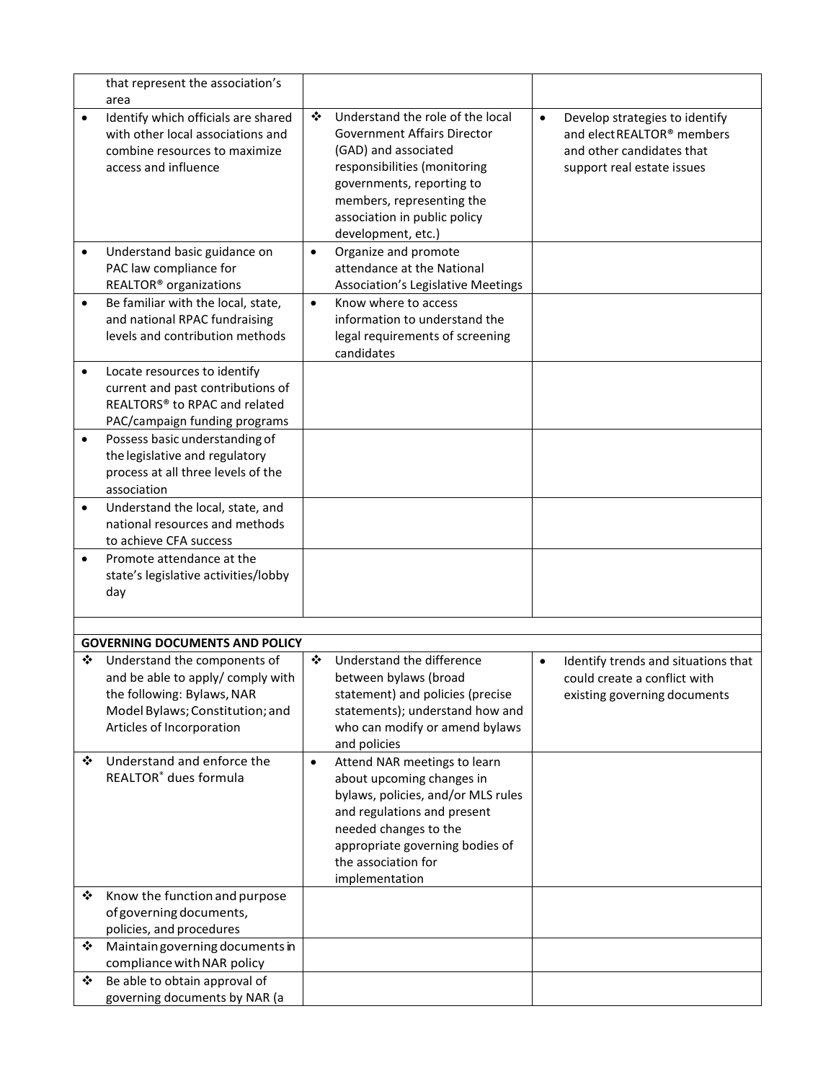|           | that represent the association's                                                                                                                                                                         |           |                                                                                                                                                                                                                                                |           |                                                                                                                         |
|-----------|----------------------------------------------------------------------------------------------------------------------------------------------------------------------------------------------------------|-----------|------------------------------------------------------------------------------------------------------------------------------------------------------------------------------------------------------------------------------------------------|-----------|-------------------------------------------------------------------------------------------------------------------------|
|           | area                                                                                                                                                                                                     |           |                                                                                                                                                                                                                                                |           |                                                                                                                         |
| $\bullet$ | Identify which officials are shared<br>with other local associations and<br>combine resources to maximize<br>access and influence                                                                        | ❖         | Understand the role of the local<br><b>Government Affairs Director</b><br>(GAD) and associated<br>responsibilities (monitoring<br>governments, reporting to<br>members, representing the<br>association in public policy<br>development, etc.) | $\bullet$ | Develop strategies to identify<br>and elect REALTOR® members<br>and other candidates that<br>support real estate issues |
|           | Understand basic guidance on<br>PAC law compliance for<br>REALTOR <sup>®</sup> organizations                                                                                                             | $\bullet$ | Organize and promote<br>attendance at the National<br>Association's Legislative Meetings                                                                                                                                                       |           |                                                                                                                         |
| $\bullet$ | Be familiar with the local, state,<br>and national RPAC fundraising<br>levels and contribution methods                                                                                                   | $\bullet$ | Know where to access<br>information to understand the<br>legal requirements of screening<br>candidates                                                                                                                                         |           |                                                                                                                         |
| $\bullet$ | Locate resources to identify<br>current and past contributions of<br>REALTORS <sup>®</sup> to RPAC and related<br>PAC/campaign funding programs                                                          |           |                                                                                                                                                                                                                                                |           |                                                                                                                         |
| $\bullet$ | Possess basic understanding of<br>the legislative and regulatory<br>process at all three levels of the<br>association                                                                                    |           |                                                                                                                                                                                                                                                |           |                                                                                                                         |
| $\bullet$ | Understand the local, state, and<br>national resources and methods<br>to achieve CFA success                                                                                                             |           |                                                                                                                                                                                                                                                |           |                                                                                                                         |
| $\bullet$ | Promote attendance at the<br>state's legislative activities/lobby<br>day                                                                                                                                 |           |                                                                                                                                                                                                                                                |           |                                                                                                                         |
|           |                                                                                                                                                                                                          |           |                                                                                                                                                                                                                                                |           |                                                                                                                         |
| ❖         | <b>GOVERNING DOCUMENTS AND POLICY</b><br>Understand the components of<br>and be able to apply/ comply with<br>the following: Bylaws, NAR<br>Model Bylaws; Constitution; and<br>Articles of Incorporation | ❖         | Understand the difference<br>between bylaws (broad<br>statement) and policies (precise<br>statements); understand how and<br>who can modify or amend bylaws<br>and policies                                                                    | $\bullet$ | Identify trends and situations that<br>could create a conflict with<br>existing governing documents                     |
| ❖         | Understand and enforce the<br>REALTOR® dues formula                                                                                                                                                      | $\bullet$ | Attend NAR meetings to learn<br>about upcoming changes in<br>bylaws, policies, and/or MLS rules<br>and regulations and present<br>needed changes to the<br>appropriate governing bodies of<br>the association for<br>implementation            |           |                                                                                                                         |
| ❖         | Know the function and purpose<br>of governing documents,<br>policies, and procedures                                                                                                                     |           |                                                                                                                                                                                                                                                |           |                                                                                                                         |
| ❖         | Maintain governing documents in<br>compliance with NAR policy                                                                                                                                            |           |                                                                                                                                                                                                                                                |           |                                                                                                                         |
| ❖         | Be able to obtain approval of<br>governing documents by NAR (a                                                                                                                                           |           |                                                                                                                                                                                                                                                |           |                                                                                                                         |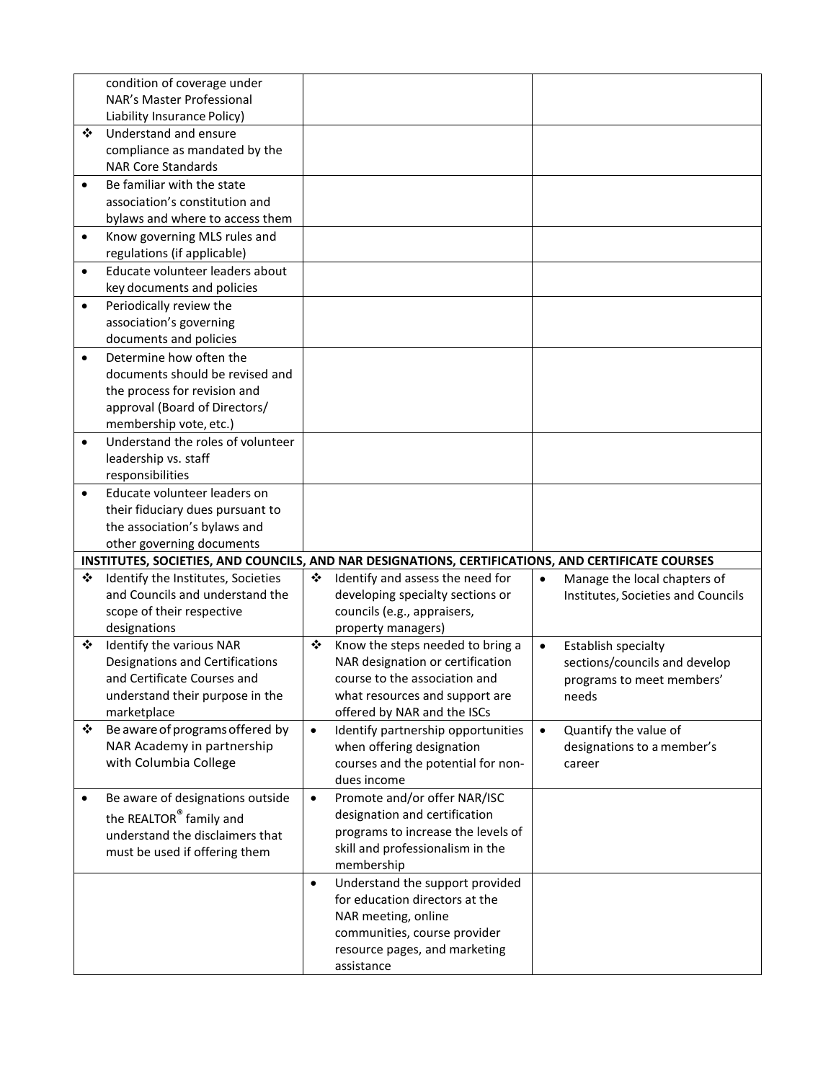|           | condition of coverage under                                    |           |                                                                                                    |           |                                    |
|-----------|----------------------------------------------------------------|-----------|----------------------------------------------------------------------------------------------------|-----------|------------------------------------|
|           | NAR's Master Professional                                      |           |                                                                                                    |           |                                    |
|           | Liability Insurance Policy)                                    |           |                                                                                                    |           |                                    |
| ❖         | Understand and ensure                                          |           |                                                                                                    |           |                                    |
|           | compliance as mandated by the<br><b>NAR Core Standards</b>     |           |                                                                                                    |           |                                    |
|           |                                                                |           |                                                                                                    |           |                                    |
| $\bullet$ | Be familiar with the state                                     |           |                                                                                                    |           |                                    |
|           | association's constitution and                                 |           |                                                                                                    |           |                                    |
|           | bylaws and where to access them                                |           |                                                                                                    |           |                                    |
| $\bullet$ | Know governing MLS rules and<br>regulations (if applicable)    |           |                                                                                                    |           |                                    |
|           | Educate volunteer leaders about                                |           |                                                                                                    |           |                                    |
| $\bullet$ | key documents and policies                                     |           |                                                                                                    |           |                                    |
| $\bullet$ | Periodically review the                                        |           |                                                                                                    |           |                                    |
|           | association's governing                                        |           |                                                                                                    |           |                                    |
|           | documents and policies                                         |           |                                                                                                    |           |                                    |
| $\bullet$ | Determine how often the                                        |           |                                                                                                    |           |                                    |
|           | documents should be revised and                                |           |                                                                                                    |           |                                    |
|           | the process for revision and                                   |           |                                                                                                    |           |                                    |
|           | approval (Board of Directors/                                  |           |                                                                                                    |           |                                    |
|           | membership vote, etc.)                                         |           |                                                                                                    |           |                                    |
| $\bullet$ | Understand the roles of volunteer                              |           |                                                                                                    |           |                                    |
|           | leadership vs. staff                                           |           |                                                                                                    |           |                                    |
|           | responsibilities                                               |           |                                                                                                    |           |                                    |
| $\bullet$ | Educate volunteer leaders on                                   |           |                                                                                                    |           |                                    |
|           | their fiduciary dues pursuant to                               |           |                                                                                                    |           |                                    |
|           | the association's bylaws and                                   |           |                                                                                                    |           |                                    |
|           | other governing documents                                      |           |                                                                                                    |           |                                    |
|           |                                                                |           | INSTITUTES, SOCIETIES, AND COUNCILS, AND NAR DESIGNATIONS, CERTIFICATIONS, AND CERTIFICATE COURSES |           |                                    |
| ❖         | Identify the Institutes, Societies                             | ❖         | Identify and assess the need for                                                                   | $\bullet$ | Manage the local chapters of       |
|           | and Councils and understand the                                |           | developing specialty sections or                                                                   |           | Institutes, Societies and Councils |
|           | scope of their respective                                      |           | councils (e.g., appraisers,                                                                        |           |                                    |
|           | designations                                                   |           | property managers)                                                                                 |           |                                    |
| ❖         | Identify the various NAR<br>Designations and Certifications    | ❖         | Know the steps needed to bring a                                                                   | $\bullet$ | Establish specialty                |
|           |                                                                |           | NAR designation or certification                                                                   |           | sections/councils and develop      |
|           | and Certificate Courses and<br>understand their purpose in the |           | course to the association and<br>what resources and support are                                    |           | programs to meet members'          |
|           | marketplace                                                    |           | offered by NAR and the ISCs                                                                        |           | needs                              |
| ❖         | Be aware of programs offered by                                | $\bullet$ | Identify partnership opportunities                                                                 | $\bullet$ | Quantify the value of              |
|           | NAR Academy in partnership                                     |           | when offering designation                                                                          |           | designations to a member's         |
|           | with Columbia College                                          |           | courses and the potential for non-                                                                 |           | career                             |
|           |                                                                |           | dues income                                                                                        |           |                                    |
| $\bullet$ | Be aware of designations outside                               | $\bullet$ | Promote and/or offer NAR/ISC                                                                       |           |                                    |
|           | the REALTOR® family and                                        |           | designation and certification                                                                      |           |                                    |
|           | understand the disclaimers that                                |           | programs to increase the levels of                                                                 |           |                                    |
|           | must be used if offering them                                  |           | skill and professionalism in the                                                                   |           |                                    |
|           |                                                                |           | membership                                                                                         |           |                                    |
|           |                                                                | $\bullet$ | Understand the support provided                                                                    |           |                                    |
|           |                                                                |           | for education directors at the                                                                     |           |                                    |
|           |                                                                |           | NAR meeting, online                                                                                |           |                                    |
|           |                                                                |           | communities, course provider                                                                       |           |                                    |
|           |                                                                |           | resource pages, and marketing                                                                      |           |                                    |
|           |                                                                |           | assistance                                                                                         |           |                                    |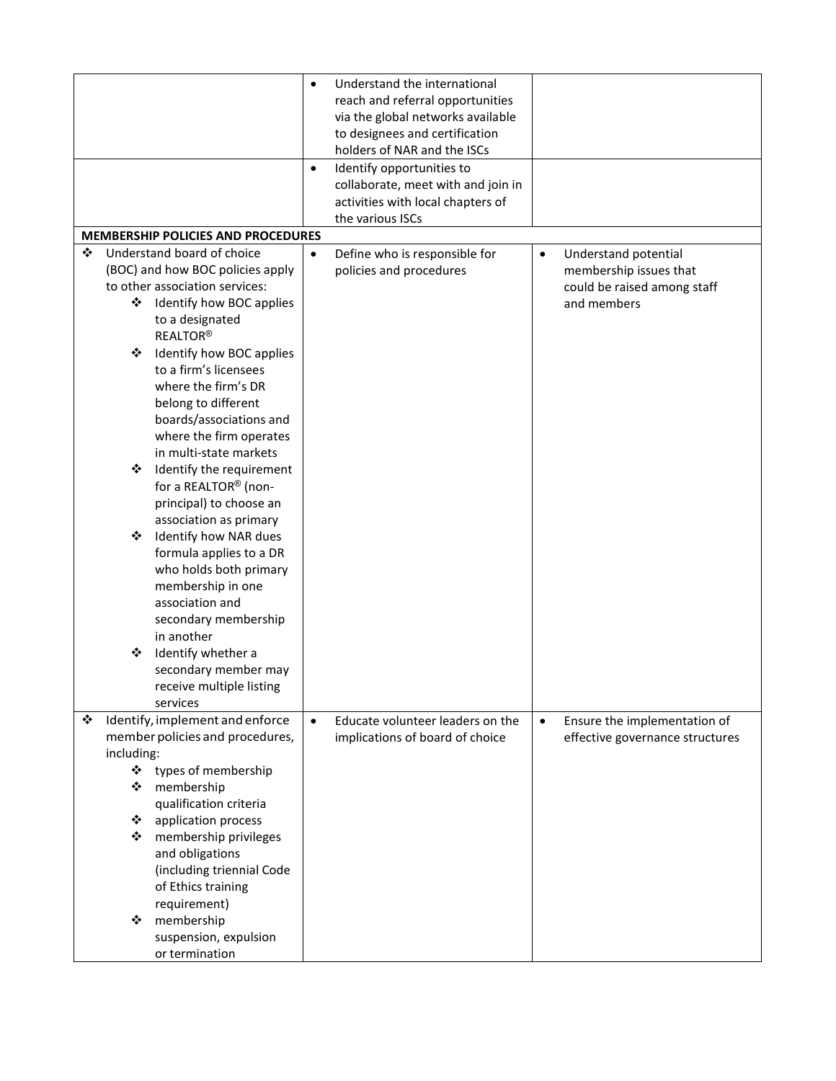|                                                                | $\bullet$<br>$\bullet$ | Understand the international<br>reach and referral opportunities<br>via the global networks available<br>to designees and certification<br>holders of NAR and the ISCs<br>Identify opportunities to<br>collaborate, meet with and join in |           |                                 |
|----------------------------------------------------------------|------------------------|-------------------------------------------------------------------------------------------------------------------------------------------------------------------------------------------------------------------------------------------|-----------|---------------------------------|
|                                                                |                        | activities with local chapters of<br>the various ISCs                                                                                                                                                                                     |           |                                 |
| <b>MEMBERSHIP POLICIES AND PROCEDURES</b>                      |                        |                                                                                                                                                                                                                                           |           |                                 |
| ❖<br>Understand board of choice                                | $\bullet$              | Define who is responsible for                                                                                                                                                                                                             | $\bullet$ | Understand potential            |
| (BOC) and how BOC policies apply                               |                        | policies and procedures                                                                                                                                                                                                                   |           | membership issues that          |
| to other association services:<br>❖                            |                        |                                                                                                                                                                                                                                           |           | could be raised among staff     |
| Identify how BOC applies<br>to a designated<br><b>REALTOR®</b> |                        |                                                                                                                                                                                                                                           |           | and members                     |
| Identify how BOC applies<br>❖                                  |                        |                                                                                                                                                                                                                                           |           |                                 |
| to a firm's licensees                                          |                        |                                                                                                                                                                                                                                           |           |                                 |
| where the firm's DR                                            |                        |                                                                                                                                                                                                                                           |           |                                 |
| belong to different<br>boards/associations and                 |                        |                                                                                                                                                                                                                                           |           |                                 |
| where the firm operates                                        |                        |                                                                                                                                                                                                                                           |           |                                 |
| in multi-state markets                                         |                        |                                                                                                                                                                                                                                           |           |                                 |
| Identify the requirement<br>❖                                  |                        |                                                                                                                                                                                                                                           |           |                                 |
| for a REALTOR® (non-                                           |                        |                                                                                                                                                                                                                                           |           |                                 |
| principal) to choose an                                        |                        |                                                                                                                                                                                                                                           |           |                                 |
| association as primary<br>Identify how NAR dues<br>❖           |                        |                                                                                                                                                                                                                                           |           |                                 |
| formula applies to a DR                                        |                        |                                                                                                                                                                                                                                           |           |                                 |
| who holds both primary                                         |                        |                                                                                                                                                                                                                                           |           |                                 |
| membership in one                                              |                        |                                                                                                                                                                                                                                           |           |                                 |
| association and                                                |                        |                                                                                                                                                                                                                                           |           |                                 |
| secondary membership                                           |                        |                                                                                                                                                                                                                                           |           |                                 |
| in another<br>Identify whether a<br>❖                          |                        |                                                                                                                                                                                                                                           |           |                                 |
| secondary member may                                           |                        |                                                                                                                                                                                                                                           |           |                                 |
| receive multiple listing                                       |                        |                                                                                                                                                                                                                                           |           |                                 |
| services                                                       |                        |                                                                                                                                                                                                                                           |           |                                 |
| ❖<br>Identify, implement and enforce                           | $\bullet$              | Educate volunteer leaders on the                                                                                                                                                                                                          | $\bullet$ | Ensure the implementation of    |
| member policies and procedures,                                |                        | implications of board of choice                                                                                                                                                                                                           |           | effective governance structures |
| including:<br>types of membership<br>❖                         |                        |                                                                                                                                                                                                                                           |           |                                 |
| membership<br>❖                                                |                        |                                                                                                                                                                                                                                           |           |                                 |
| qualification criteria                                         |                        |                                                                                                                                                                                                                                           |           |                                 |
| application process<br>❖                                       |                        |                                                                                                                                                                                                                                           |           |                                 |
| membership privileges<br>❖<br>and obligations                  |                        |                                                                                                                                                                                                                                           |           |                                 |
| (including triennial Code                                      |                        |                                                                                                                                                                                                                                           |           |                                 |
| of Ethics training                                             |                        |                                                                                                                                                                                                                                           |           |                                 |
| requirement)                                                   |                        |                                                                                                                                                                                                                                           |           |                                 |
| membership<br>❖<br>suspension, expulsion                       |                        |                                                                                                                                                                                                                                           |           |                                 |
| or termination                                                 |                        |                                                                                                                                                                                                                                           |           |                                 |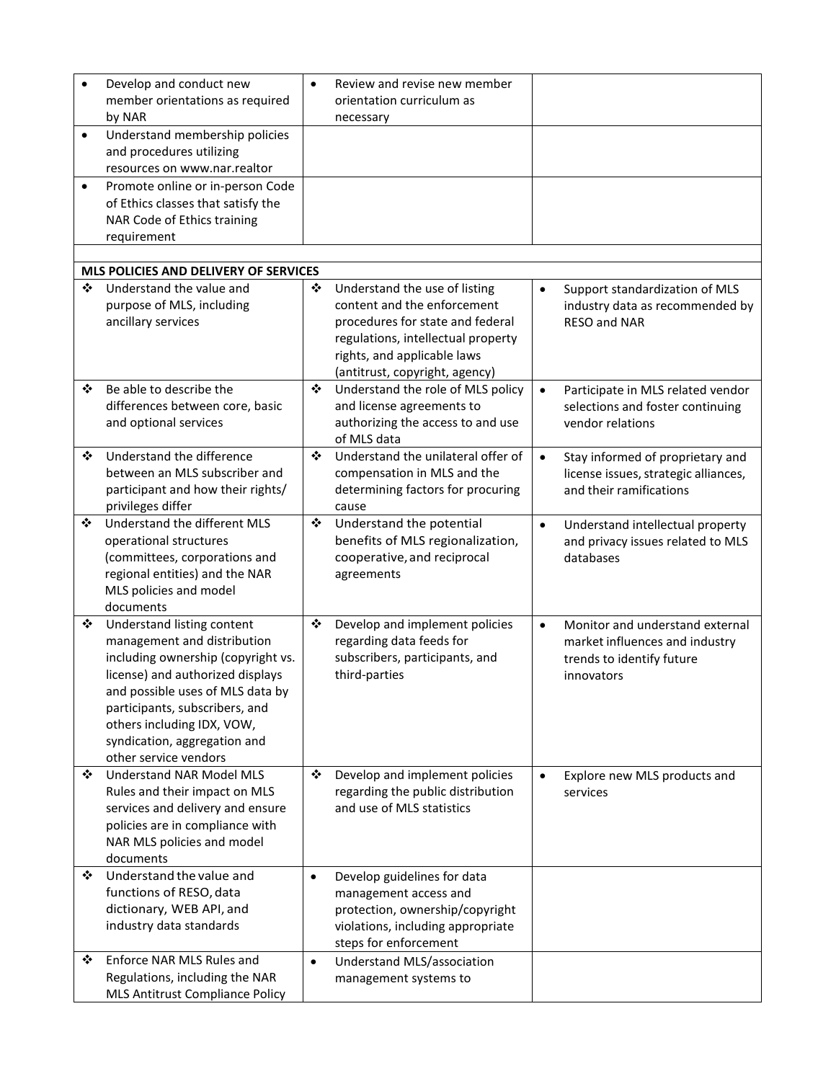| $\bullet$ | Develop and conduct new<br>member orientations as required<br>by NAR                                                                                                                                                                                                                             | $\bullet$ | Review and revise new member<br>orientation curriculum as<br>necessary                                                                                                 |           |                                                                                                              |
|-----------|--------------------------------------------------------------------------------------------------------------------------------------------------------------------------------------------------------------------------------------------------------------------------------------------------|-----------|------------------------------------------------------------------------------------------------------------------------------------------------------------------------|-----------|--------------------------------------------------------------------------------------------------------------|
| $\bullet$ | Understand membership policies<br>and procedures utilizing<br>resources on www.nar.realtor                                                                                                                                                                                                       |           |                                                                                                                                                                        |           |                                                                                                              |
| ٠         | Promote online or in-person Code<br>of Ethics classes that satisfy the<br>NAR Code of Ethics training<br>requirement                                                                                                                                                                             |           |                                                                                                                                                                        |           |                                                                                                              |
|           | MLS POLICIES AND DELIVERY OF SERVICES                                                                                                                                                                                                                                                            |           |                                                                                                                                                                        |           |                                                                                                              |
| ❖         | Understand the value and                                                                                                                                                                                                                                                                         | ❖         | Understand the use of listing                                                                                                                                          | $\bullet$ | Support standardization of MLS                                                                               |
|           | purpose of MLS, including<br>ancillary services                                                                                                                                                                                                                                                  |           | content and the enforcement<br>procedures for state and federal<br>regulations, intellectual property<br>rights, and applicable laws<br>(antitrust, copyright, agency) |           | industry data as recommended by<br><b>RESO and NAR</b>                                                       |
| ❖         | Be able to describe the<br>differences between core, basic<br>and optional services                                                                                                                                                                                                              | ❖         | Understand the role of MLS policy<br>and license agreements to<br>authorizing the access to and use<br>of MLS data                                                     | $\bullet$ | Participate in MLS related vendor<br>selections and foster continuing<br>vendor relations                    |
| ❖         | Understand the difference<br>between an MLS subscriber and<br>participant and how their rights/<br>privileges differ                                                                                                                                                                             | ❖         | Understand the unilateral offer of<br>compensation in MLS and the<br>determining factors for procuring<br>cause                                                        | $\bullet$ | Stay informed of proprietary and<br>license issues, strategic alliances,<br>and their ramifications          |
| ❖         | Understand the different MLS<br>operational structures<br>(committees, corporations and<br>regional entities) and the NAR<br>MLS policies and model<br>documents                                                                                                                                 | ❖         | Understand the potential<br>benefits of MLS regionalization,<br>cooperative, and reciprocal<br>agreements                                                              | $\bullet$ | Understand intellectual property<br>and privacy issues related to MLS<br>databases                           |
| ❖         | Understand listing content<br>management and distribution<br>including ownership (copyright vs.<br>license) and authorized displays<br>and possible uses of MLS data by<br>participants, subscribers, and<br>others including IDX, VOW,<br>syndication, aggregation and<br>other service vendors | ❖         | Develop and implement policies<br>regarding data feeds for<br>subscribers, participants, and<br>third-parties                                                          | $\bullet$ | Monitor and understand external<br>market influences and industry<br>trends to identify future<br>innovators |
| ❖         | <b>Understand NAR Model MLS</b><br>Rules and their impact on MLS<br>services and delivery and ensure<br>policies are in compliance with<br>NAR MLS policies and model<br>documents                                                                                                               | ❖         | Develop and implement policies<br>regarding the public distribution<br>and use of MLS statistics                                                                       | $\bullet$ | Explore new MLS products and<br>services                                                                     |
| ❖         | Understand the value and<br>functions of RESO, data<br>dictionary, WEB API, and<br>industry data standards                                                                                                                                                                                       | $\bullet$ | Develop guidelines for data<br>management access and<br>protection, ownership/copyright<br>violations, including appropriate<br>steps for enforcement                  |           |                                                                                                              |
| ❖         | Enforce NAR MLS Rules and<br>Regulations, including the NAR<br>MLS Antitrust Compliance Policy                                                                                                                                                                                                   | $\bullet$ | Understand MLS/association<br>management systems to                                                                                                                    |           |                                                                                                              |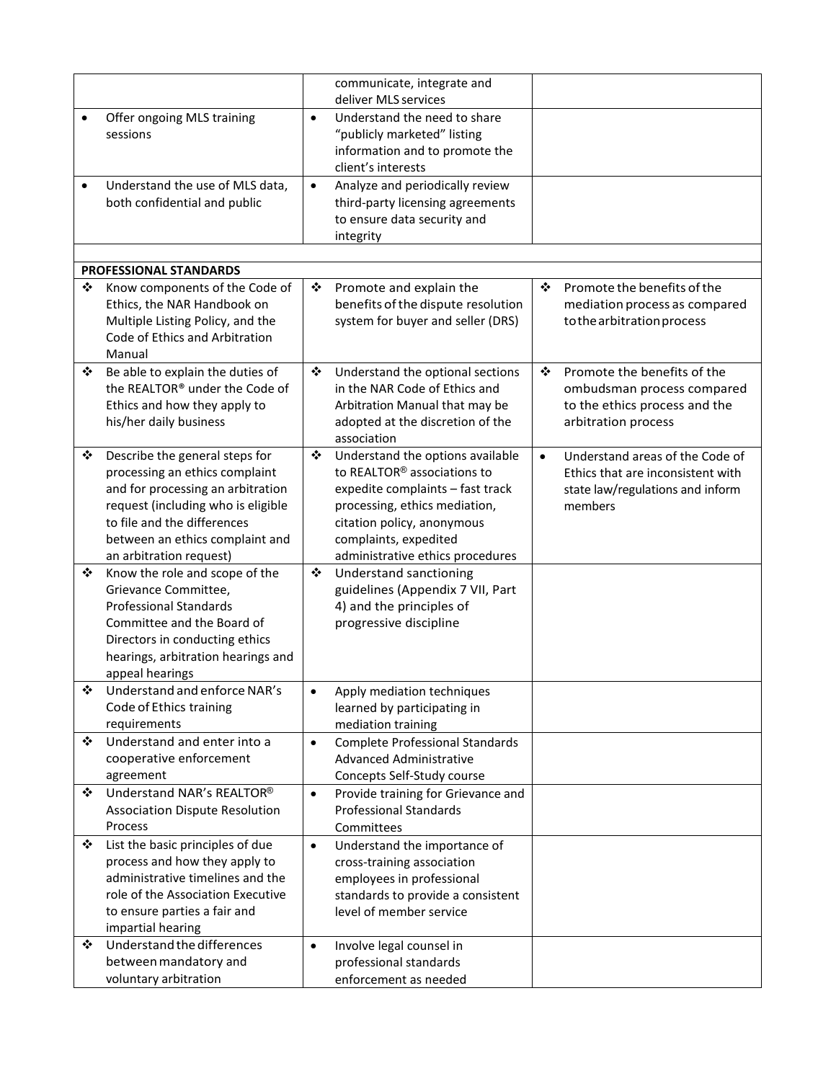|           |                                                                                                                                     |           | communicate, integrate and                                                                         |           |                                                                                            |
|-----------|-------------------------------------------------------------------------------------------------------------------------------------|-----------|----------------------------------------------------------------------------------------------------|-----------|--------------------------------------------------------------------------------------------|
|           |                                                                                                                                     |           | deliver MLS services                                                                               |           |                                                                                            |
|           | Offer ongoing MLS training<br>sessions                                                                                              | $\bullet$ | Understand the need to share<br>"publicly marketed" listing<br>information and to promote the      |           |                                                                                            |
|           |                                                                                                                                     |           | client's interests                                                                                 |           |                                                                                            |
| $\bullet$ | Understand the use of MLS data,<br>both confidential and public                                                                     | $\bullet$ | Analyze and periodically review<br>third-party licensing agreements<br>to ensure data security and |           |                                                                                            |
|           |                                                                                                                                     |           | integrity                                                                                          |           |                                                                                            |
|           |                                                                                                                                     |           |                                                                                                    |           |                                                                                            |
|           | <b>PROFESSIONAL STANDARDS</b>                                                                                                       |           |                                                                                                    |           |                                                                                            |
| ❖         | Know components of the Code of<br>Ethics, the NAR Handbook on<br>Multiple Listing Policy, and the<br>Code of Ethics and Arbitration | ❖         | Promote and explain the<br>benefits of the dispute resolution<br>system for buyer and seller (DRS) | ❖         | Promote the benefits of the<br>mediation process as compared<br>to the arbitration process |
| ❖         | Manual<br>Be able to explain the duties of                                                                                          | ❖         | Understand the optional sections                                                                   | ❖         | Promote the benefits of the                                                                |
|           | the REALTOR® under the Code of                                                                                                      |           | in the NAR Code of Ethics and                                                                      |           | ombudsman process compared                                                                 |
|           | Ethics and how they apply to                                                                                                        |           | Arbitration Manual that may be                                                                     |           | to the ethics process and the                                                              |
|           | his/her daily business                                                                                                              |           | adopted at the discretion of the                                                                   |           | arbitration process                                                                        |
|           |                                                                                                                                     |           | association                                                                                        |           |                                                                                            |
| ❖         | Describe the general steps for                                                                                                      | ❖         | Understand the options available                                                                   | $\bullet$ | Understand areas of the Code of                                                            |
|           | processing an ethics complaint                                                                                                      |           | to REALTOR <sup>®</sup> associations to                                                            |           | Ethics that are inconsistent with                                                          |
|           | and for processing an arbitration<br>request (including who is eligible                                                             |           | expedite complaints - fast track<br>processing, ethics mediation,                                  |           | state law/regulations and inform<br>members                                                |
|           | to file and the differences                                                                                                         |           | citation policy, anonymous                                                                         |           |                                                                                            |
|           | between an ethics complaint and                                                                                                     |           | complaints, expedited                                                                              |           |                                                                                            |
|           | an arbitration request)                                                                                                             |           | administrative ethics procedures                                                                   |           |                                                                                            |
| ❖         | Know the role and scope of the                                                                                                      | ❖         | Understand sanctioning                                                                             |           |                                                                                            |
|           | Grievance Committee,                                                                                                                |           | guidelines (Appendix 7 VII, Part                                                                   |           |                                                                                            |
|           | <b>Professional Standards</b>                                                                                                       |           | 4) and the principles of<br>progressive discipline                                                 |           |                                                                                            |
|           | Committee and the Board of<br>Directors in conducting ethics                                                                        |           |                                                                                                    |           |                                                                                            |
|           | hearings, arbitration hearings and                                                                                                  |           |                                                                                                    |           |                                                                                            |
|           | appeal hearings                                                                                                                     |           |                                                                                                    |           |                                                                                            |
| ❖         | Understand and enforce NAR's                                                                                                        | $\bullet$ | Apply mediation techniques                                                                         |           |                                                                                            |
|           | Code of Ethics training                                                                                                             |           | learned by participating in                                                                        |           |                                                                                            |
|           | requirements                                                                                                                        |           | mediation training                                                                                 |           |                                                                                            |
| ❖         | Understand and enter into a                                                                                                         | $\bullet$ | <b>Complete Professional Standards</b>                                                             |           |                                                                                            |
|           | cooperative enforcement<br>agreement                                                                                                |           | <b>Advanced Administrative</b><br>Concepts Self-Study course                                       |           |                                                                                            |
| ❖         | Understand NAR's REALTOR®                                                                                                           | $\bullet$ | Provide training for Grievance and                                                                 |           |                                                                                            |
|           | <b>Association Dispute Resolution</b>                                                                                               |           | <b>Professional Standards</b>                                                                      |           |                                                                                            |
|           | Process                                                                                                                             |           | Committees                                                                                         |           |                                                                                            |
| ❖         | List the basic principles of due                                                                                                    | $\bullet$ | Understand the importance of                                                                       |           |                                                                                            |
|           | process and how they apply to                                                                                                       |           | cross-training association                                                                         |           |                                                                                            |
|           | administrative timelines and the                                                                                                    |           | employees in professional                                                                          |           |                                                                                            |
|           | role of the Association Executive                                                                                                   |           | standards to provide a consistent<br>level of member service                                       |           |                                                                                            |
|           | to ensure parties a fair and<br>impartial hearing                                                                                   |           |                                                                                                    |           |                                                                                            |
| ❖         | Understand the differences                                                                                                          | $\bullet$ | Involve legal counsel in                                                                           |           |                                                                                            |
|           | between mandatory and                                                                                                               |           | professional standards                                                                             |           |                                                                                            |
|           | voluntary arbitration                                                                                                               |           | enforcement as needed                                                                              |           |                                                                                            |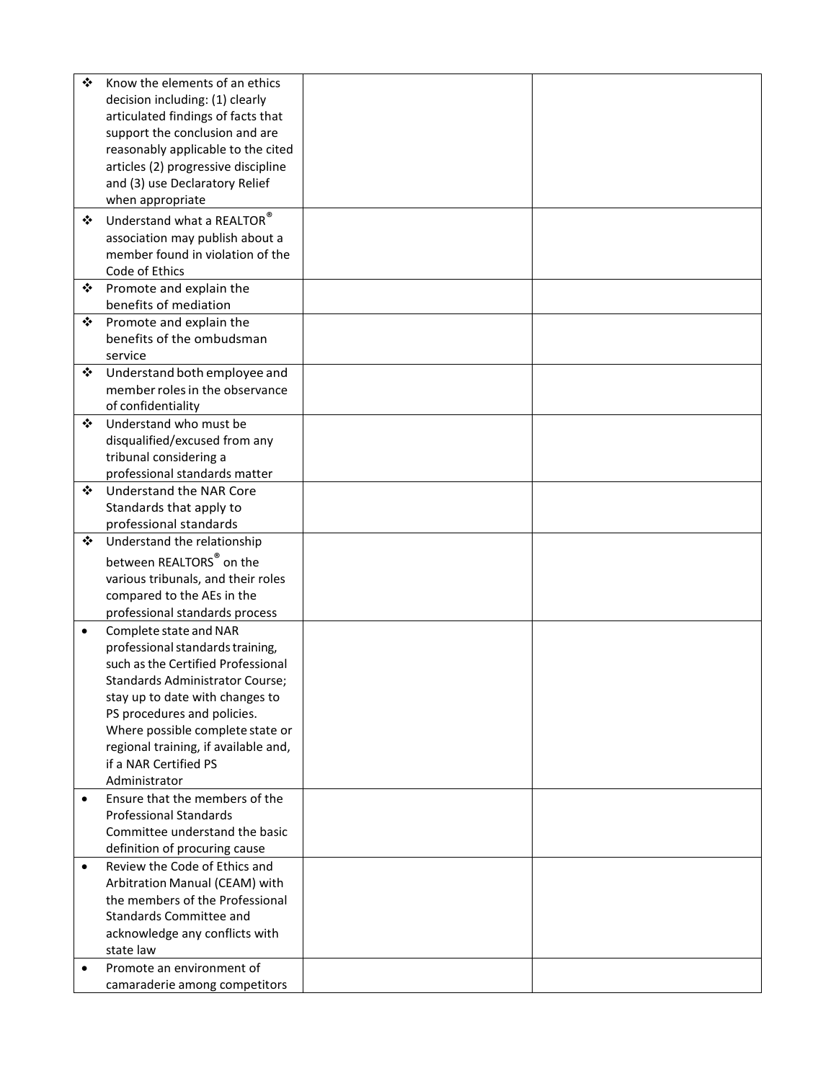| $\ddot{\cdot}$ | Know the elements of an ethics       |  |
|----------------|--------------------------------------|--|
|                | decision including: (1) clearly      |  |
|                | articulated findings of facts that   |  |
|                | support the conclusion and are       |  |
|                | reasonably applicable to the cited   |  |
|                | articles (2) progressive discipline  |  |
|                |                                      |  |
|                | and (3) use Declaratory Relief       |  |
|                | when appropriate                     |  |
| ❖              | Understand what a REALTOR $^{\circ}$ |  |
|                | association may publish about a      |  |
|                | member found in violation of the     |  |
|                | Code of Ethics                       |  |
| ❖              | Promote and explain the              |  |
|                | benefits of mediation                |  |
| ❖              | Promote and explain the              |  |
|                | benefits of the ombudsman            |  |
|                | service                              |  |
| ❖              | Understand both employee and         |  |
|                | member roles in the observance       |  |
|                | of confidentiality                   |  |
| ❖              | Understand who must be               |  |
|                |                                      |  |
|                | disqualified/excused from any        |  |
|                | tribunal considering a               |  |
|                | professional standards matter        |  |
| ❖              | Understand the NAR Core              |  |
|                | Standards that apply to              |  |
|                | professional standards               |  |
| ❖              | Understand the relationship          |  |
|                | between REALTORS <sup>®</sup> on the |  |
|                | various tribunals, and their roles   |  |
|                | compared to the AEs in the           |  |
|                | professional standards process       |  |
|                |                                      |  |
| $\bullet$      | Complete state and NAR               |  |
|                | professional standards training,     |  |
|                | such as the Certified Professional   |  |
|                | Standards Administrator Course;      |  |
|                | stay up to date with changes to      |  |
|                | PS procedures and policies.          |  |
|                | Where possible complete state or     |  |
|                | regional training, if available and, |  |
|                | if a NAR Certified PS                |  |
|                | Administrator                        |  |
| $\bullet$      | Ensure that the members of the       |  |
|                | <b>Professional Standards</b>        |  |
|                | Committee understand the basic       |  |
|                | definition of procuring cause        |  |
| $\bullet$      | Review the Code of Ethics and        |  |
|                | Arbitration Manual (CEAM) with       |  |
|                | the members of the Professional      |  |
|                | Standards Committee and              |  |
|                | acknowledge any conflicts with       |  |
|                | state law                            |  |
| $\bullet$      | Promote an environment of            |  |
|                | camaraderie among competitors        |  |
|                |                                      |  |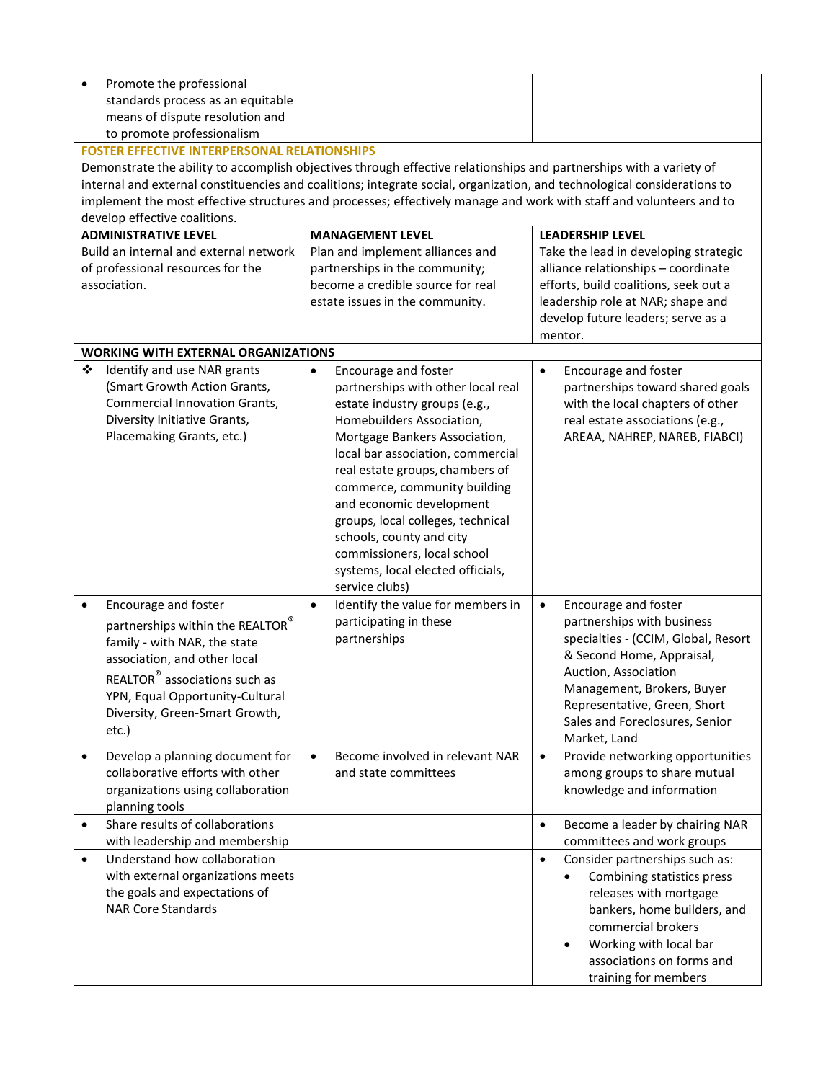| Promote the professional<br>$\bullet$<br>standards process as an equitable<br>means of dispute resolution and<br>to promote professionalism<br><b>FOSTER EFFECTIVE INTERPERSONAL RELATIONSHIPS</b><br>develop effective coalitions.<br><b>ADMINISTRATIVE LEVEL</b><br>Build an internal and external network<br>of professional resources for the<br>association. | Demonstrate the ability to accomplish objectives through effective relationships and partnerships with a variety of<br>internal and external constituencies and coalitions; integrate social, organization, and technological considerations to<br>implement the most effective structures and processes; effectively manage and work with staff and volunteers and to<br><b>MANAGEMENT LEVEL</b><br>Plan and implement alliances and<br>partnerships in the community;<br>become a credible source for real<br>estate issues in the community. | <b>LEADERSHIP LEVEL</b><br>Take the lead in developing strategic<br>alliance relationships - coordinate<br>efforts, build coalitions, seek out a<br>leadership role at NAR; shape and<br>develop future leaders; serve as a                                                                                                  |
|-------------------------------------------------------------------------------------------------------------------------------------------------------------------------------------------------------------------------------------------------------------------------------------------------------------------------------------------------------------------|-------------------------------------------------------------------------------------------------------------------------------------------------------------------------------------------------------------------------------------------------------------------------------------------------------------------------------------------------------------------------------------------------------------------------------------------------------------------------------------------------------------------------------------------------|------------------------------------------------------------------------------------------------------------------------------------------------------------------------------------------------------------------------------------------------------------------------------------------------------------------------------|
|                                                                                                                                                                                                                                                                                                                                                                   |                                                                                                                                                                                                                                                                                                                                                                                                                                                                                                                                                 | mentor.                                                                                                                                                                                                                                                                                                                      |
| <b>WORKING WITH EXTERNAL ORGANIZATIONS</b>                                                                                                                                                                                                                                                                                                                        |                                                                                                                                                                                                                                                                                                                                                                                                                                                                                                                                                 |                                                                                                                                                                                                                                                                                                                              |
| ❖<br>Identify and use NAR grants<br>(Smart Growth Action Grants,<br><b>Commercial Innovation Grants,</b><br>Diversity Initiative Grants,<br>Placemaking Grants, etc.)                                                                                                                                                                                             | Encourage and foster<br>$\bullet$<br>partnerships with other local real<br>estate industry groups (e.g.,<br>Homebuilders Association,<br>Mortgage Bankers Association,<br>local bar association, commercial<br>real estate groups, chambers of<br>commerce, community building<br>and economic development<br>groups, local colleges, technical<br>schools, county and city<br>commissioners, local school<br>systems, local elected officials,<br>service clubs)                                                                               | Encourage and foster<br>$\bullet$<br>partnerships toward shared goals<br>with the local chapters of other<br>real estate associations (e.g.,<br>AREAA, NAHREP, NAREB, FIABCI)                                                                                                                                                |
| Encourage and foster<br>$\bullet$<br>partnerships within the REALTOR®<br>family - with NAR, the state<br>association, and other local<br>REALTOR® associations such as<br>YPN, Equal Opportunity-Cultural<br>Diversity, Green-Smart Growth,<br>$etc.$ )<br>Develop a planning document for<br>$\bullet$                                                           | $\bullet$<br>Identify the value for members in<br>participating in these<br>partnerships<br>Become involved in relevant NAR<br>$\bullet$                                                                                                                                                                                                                                                                                                                                                                                                        | Encourage and foster<br>$\bullet$<br>partnerships with business<br>specialties - (CCIM, Global, Resort<br>& Second Home, Appraisal,<br>Auction, Association<br>Management, Brokers, Buyer<br>Representative, Green, Short<br>Sales and Foreclosures, Senior<br>Market, Land<br>Provide networking opportunities<br>$\bullet$ |
| collaborative efforts with other<br>organizations using collaboration<br>planning tools                                                                                                                                                                                                                                                                           | and state committees                                                                                                                                                                                                                                                                                                                                                                                                                                                                                                                            | among groups to share mutual<br>knowledge and information                                                                                                                                                                                                                                                                    |
| Share results of collaborations<br>$\bullet$                                                                                                                                                                                                                                                                                                                      |                                                                                                                                                                                                                                                                                                                                                                                                                                                                                                                                                 | Become a leader by chairing NAR<br>$\bullet$                                                                                                                                                                                                                                                                                 |
| with leadership and membership<br>Understand how collaboration<br>$\bullet$<br>with external organizations meets<br>the goals and expectations of<br><b>NAR Core Standards</b>                                                                                                                                                                                    |                                                                                                                                                                                                                                                                                                                                                                                                                                                                                                                                                 | committees and work groups<br>Consider partnerships such as:<br>$\bullet$<br>Combining statistics press<br>releases with mortgage<br>bankers, home builders, and<br>commercial brokers<br>Working with local bar<br>$\bullet$<br>associations on forms and<br>training for members                                           |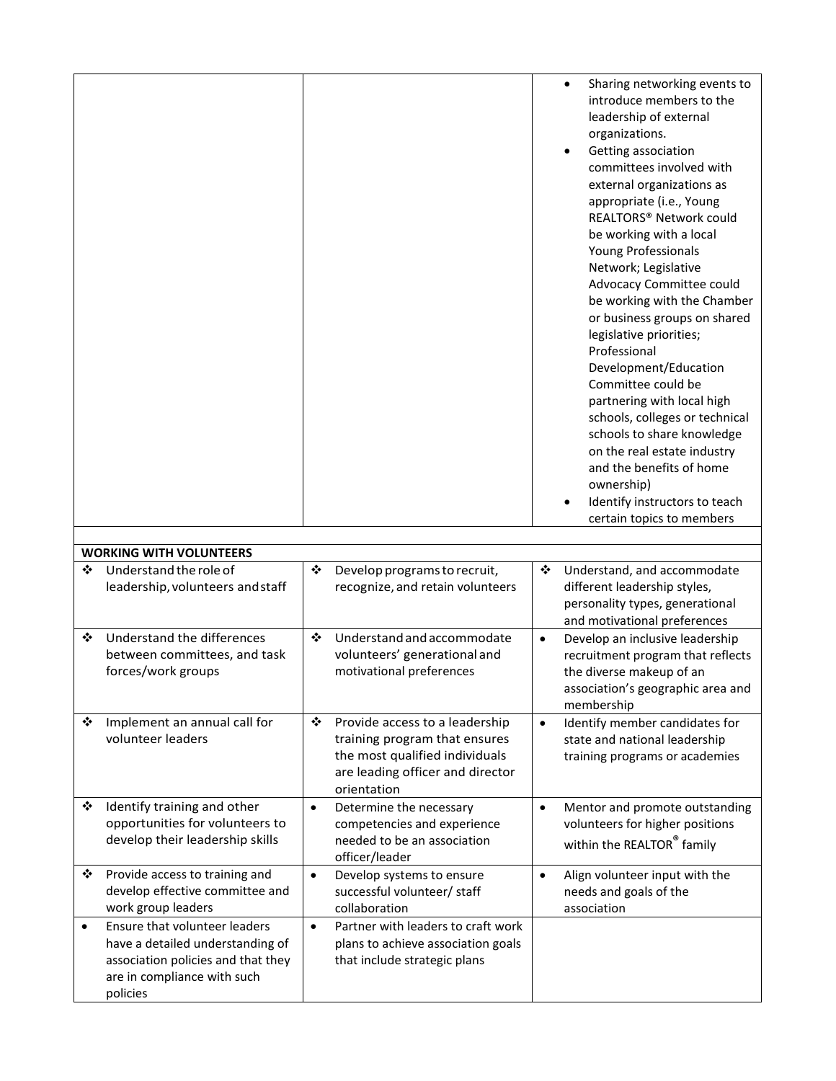|           |                                                                                                                                                    |           |                                                                                                                                                      |           | $\bullet$                                                                                                                                                                                                                                                                                                                                                                                                                                                                                                                                                                                                                                                                                                                 |
|-----------|----------------------------------------------------------------------------------------------------------------------------------------------------|-----------|------------------------------------------------------------------------------------------------------------------------------------------------------|-----------|---------------------------------------------------------------------------------------------------------------------------------------------------------------------------------------------------------------------------------------------------------------------------------------------------------------------------------------------------------------------------------------------------------------------------------------------------------------------------------------------------------------------------------------------------------------------------------------------------------------------------------------------------------------------------------------------------------------------------|
|           |                                                                                                                                                    |           |                                                                                                                                                      |           | Sharing networking events to<br>introduce members to the<br>leadership of external<br>organizations.<br>Getting association<br>committees involved with<br>external organizations as<br>appropriate (i.e., Young<br><b>REALTORS® Network could</b><br>be working with a local<br>Young Professionals<br>Network; Legislative<br>Advocacy Committee could<br>be working with the Chamber<br>or business groups on shared<br>legislative priorities;<br>Professional<br>Development/Education<br>Committee could be<br>partnering with local high<br>schools, colleges or technical<br>schools to share knowledge<br>on the real estate industry<br>and the benefits of home<br>ownership)<br>Identify instructors to teach |
|           |                                                                                                                                                    |           |                                                                                                                                                      |           | certain topics to members                                                                                                                                                                                                                                                                                                                                                                                                                                                                                                                                                                                                                                                                                                 |
|           | <b>WORKING WITH VOLUNTEERS</b>                                                                                                                     |           |                                                                                                                                                      |           |                                                                                                                                                                                                                                                                                                                                                                                                                                                                                                                                                                                                                                                                                                                           |
| ❖         | Understand the role of                                                                                                                             | ❖         | Develop programs to recruit,                                                                                                                         | ❖         | Understand, and accommodate                                                                                                                                                                                                                                                                                                                                                                                                                                                                                                                                                                                                                                                                                               |
|           | leadership, volunteers and staff                                                                                                                   |           | recognize, and retain volunteers                                                                                                                     |           | different leadership styles,<br>personality types, generational<br>and motivational preferences                                                                                                                                                                                                                                                                                                                                                                                                                                                                                                                                                                                                                           |
| ❖         | Understand the differences<br>between committees, and task<br>forces/work groups                                                                   | ❖         | Understand and accommodate<br>volunteers' generational and<br>motivational preferences                                                               | $\bullet$ | Develop an inclusive leadership<br>recruitment program that reflects<br>the diverse makeup of an<br>association's geographic area and<br>membership                                                                                                                                                                                                                                                                                                                                                                                                                                                                                                                                                                       |
| ❖         | Implement an annual call for<br>volunteer leaders                                                                                                  | ❖         | Provide access to a leadership<br>training program that ensures<br>the most qualified individuals<br>are leading officer and director<br>orientation | $\bullet$ | Identify member candidates for<br>state and national leadership<br>training programs or academies                                                                                                                                                                                                                                                                                                                                                                                                                                                                                                                                                                                                                         |
| ❖         | Identify training and other<br>opportunities for volunteers to<br>develop their leadership skills                                                  | $\bullet$ | Determine the necessary<br>competencies and experience<br>needed to be an association<br>officer/leader                                              | $\bullet$ | Mentor and promote outstanding<br>volunteers for higher positions<br>within the REALTOR® family                                                                                                                                                                                                                                                                                                                                                                                                                                                                                                                                                                                                                           |
| ❖         | Provide access to training and<br>develop effective committee and<br>work group leaders                                                            | $\bullet$ | Develop systems to ensure<br>successful volunteer/ staff<br>collaboration                                                                            | $\bullet$ | Align volunteer input with the<br>needs and goals of the<br>association                                                                                                                                                                                                                                                                                                                                                                                                                                                                                                                                                                                                                                                   |
| $\bullet$ | Ensure that volunteer leaders<br>have a detailed understanding of<br>association policies and that they<br>are in compliance with such<br>policies | $\bullet$ | Partner with leaders to craft work<br>plans to achieve association goals<br>that include strategic plans                                             |           |                                                                                                                                                                                                                                                                                                                                                                                                                                                                                                                                                                                                                                                                                                                           |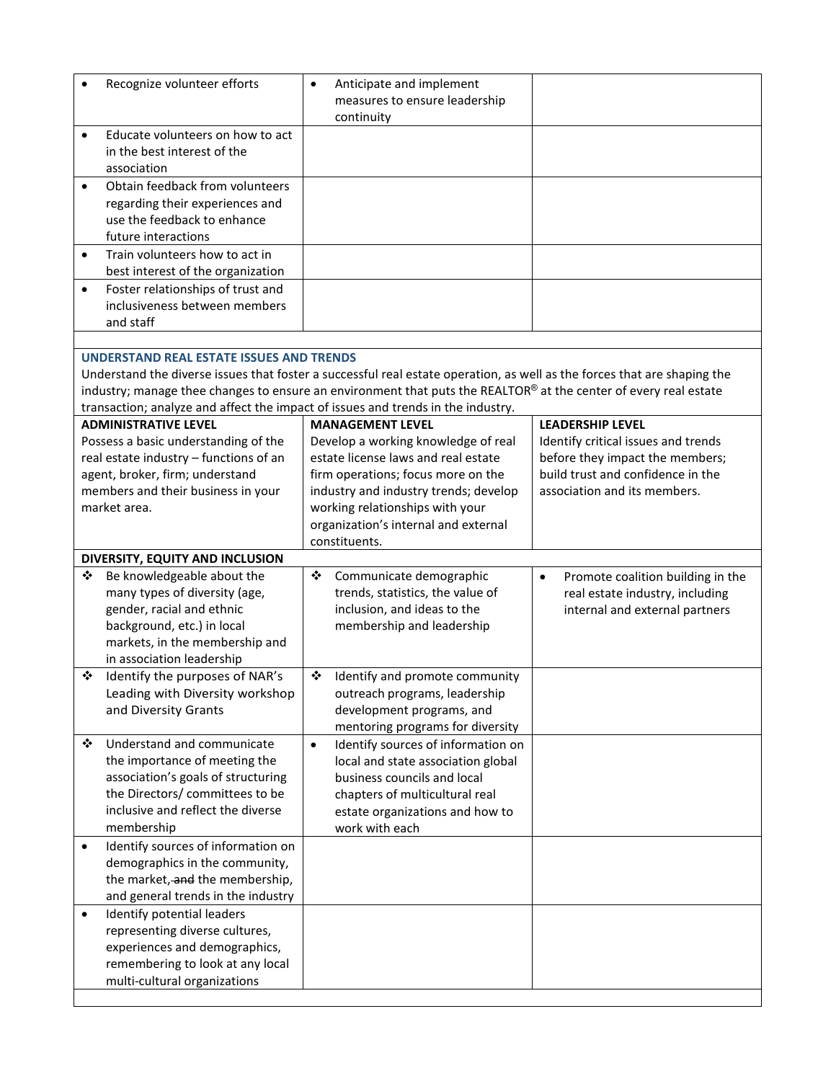| Recognize volunteer efforts                                                                                                                                                                            | Anticipate and implement<br>$\bullet$<br>measures to ensure leadership<br>continuity                                                                                                                                                                                             |                                                                                                                                                                        |
|--------------------------------------------------------------------------------------------------------------------------------------------------------------------------------------------------------|----------------------------------------------------------------------------------------------------------------------------------------------------------------------------------------------------------------------------------------------------------------------------------|------------------------------------------------------------------------------------------------------------------------------------------------------------------------|
| Educate volunteers on how to act<br>$\bullet$<br>in the best interest of the<br>association                                                                                                            |                                                                                                                                                                                                                                                                                  |                                                                                                                                                                        |
| Obtain feedback from volunteers<br>$\bullet$<br>regarding their experiences and<br>use the feedback to enhance<br>future interactions                                                                  |                                                                                                                                                                                                                                                                                  |                                                                                                                                                                        |
| Train volunteers how to act in<br>$\bullet$<br>best interest of the organization                                                                                                                       |                                                                                                                                                                                                                                                                                  |                                                                                                                                                                        |
| Foster relationships of trust and<br>$\bullet$<br>inclusiveness between members<br>and staff                                                                                                           |                                                                                                                                                                                                                                                                                  |                                                                                                                                                                        |
| <b>UNDERSTAND REAL ESTATE ISSUES AND TRENDS</b><br>transaction; analyze and affect the impact of issues and trends in the industry.                                                                    | Understand the diverse issues that foster a successful real estate operation, as well as the forces that are shaping the<br>industry; manage thee changes to ensure an environment that puts the REALTOR® at the center of every real estate                                     |                                                                                                                                                                        |
| <b>ADMINISTRATIVE LEVEL</b><br>Possess a basic understanding of the<br>real estate industry - functions of an<br>agent, broker, firm; understand<br>members and their business in your<br>market area. | <b>MANAGEMENT LEVEL</b><br>Develop a working knowledge of real<br>estate license laws and real estate<br>firm operations; focus more on the<br>industry and industry trends; develop<br>working relationships with your<br>organization's internal and external<br>constituents. | <b>LEADERSHIP LEVEL</b><br>Identify critical issues and trends<br>before they impact the members;<br>build trust and confidence in the<br>association and its members. |
| DIVERSITY, EQUITY AND INCLUSION                                                                                                                                                                        |                                                                                                                                                                                                                                                                                  |                                                                                                                                                                        |
| Be knowledgeable about the<br>❖<br>many types of diversity (age,<br>gender, racial and ethnic<br>background, etc.) in local<br>markets, in the membership and<br>in association leadership             | Communicate demographic<br>❖<br>trends, statistics, the value of<br>inclusion, and ideas to the<br>membership and leadership                                                                                                                                                     | Promote coalition building in the<br>$\bullet$<br>real estate industry, including<br>internal and external partners                                                    |
| ❖<br>Identify the purposes of NAR's<br>Leading with Diversity workshop<br>and Diversity Grants                                                                                                         | ❖<br>Identify and promote community<br>outreach programs, leadership<br>development programs, and<br>mentoring programs for diversity                                                                                                                                            |                                                                                                                                                                        |
| Understand and communicate<br>❖<br>the importance of meeting the<br>association's goals of structuring<br>the Directors/committees to be<br>inclusive and reflect the diverse<br>membership            | Identify sources of information on<br>$\bullet$<br>local and state association global<br>business councils and local<br>chapters of multicultural real<br>estate organizations and how to<br>work with each                                                                      |                                                                                                                                                                        |
| Identify sources of information on<br>$\bullet$<br>demographics in the community,<br>the market, and the membership,<br>and general trends in the industry                                             |                                                                                                                                                                                                                                                                                  |                                                                                                                                                                        |
| Identify potential leaders<br>$\bullet$<br>representing diverse cultures,<br>experiences and demographics,<br>remembering to look at any local<br>multi-cultural organizations                         |                                                                                                                                                                                                                                                                                  |                                                                                                                                                                        |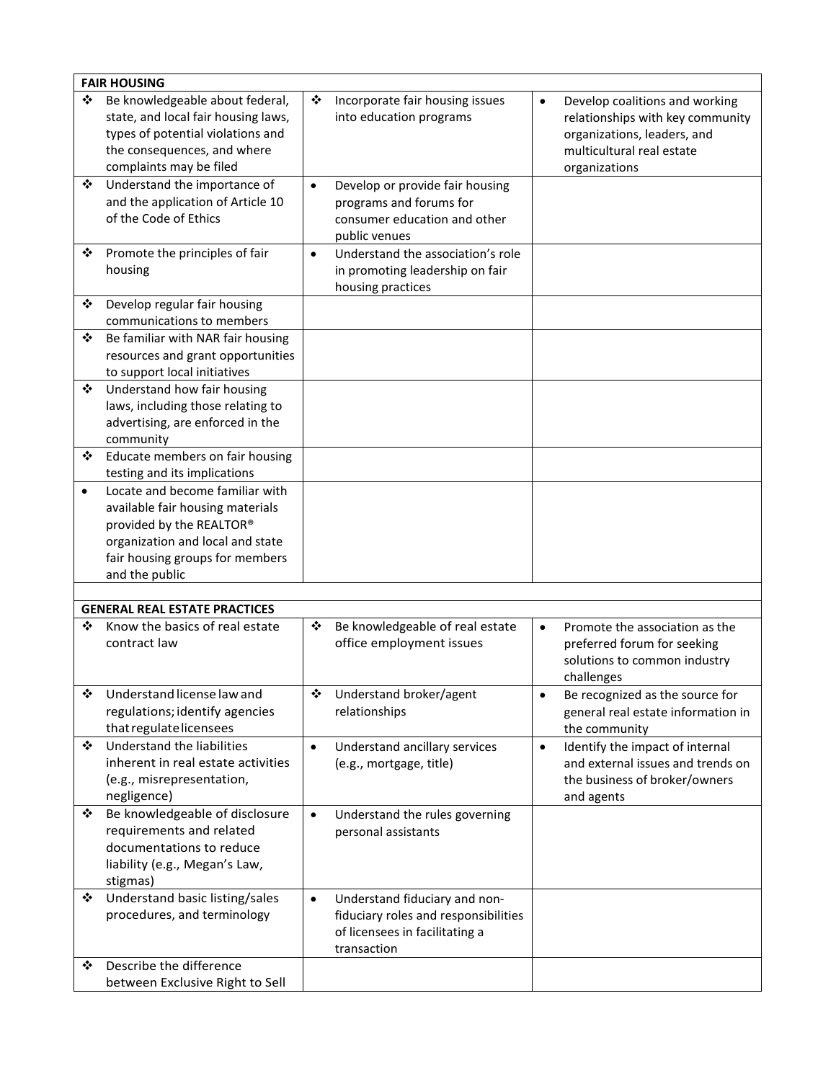|           | <b>FAIR HOUSING</b>                                                                                                                                                                      |           |                                                                                                                        |           |                                                                                                                                                 |
|-----------|------------------------------------------------------------------------------------------------------------------------------------------------------------------------------------------|-----------|------------------------------------------------------------------------------------------------------------------------|-----------|-------------------------------------------------------------------------------------------------------------------------------------------------|
| ❖         | Be knowledgeable about federal,<br>state, and local fair housing laws,<br>types of potential violations and<br>the consequences, and where<br>complaints may be filed                    | ❖         | Incorporate fair housing issues<br>into education programs                                                             | $\bullet$ | Develop coalitions and working<br>relationships with key community<br>organizations, leaders, and<br>multicultural real estate<br>organizations |
| ❖         | Understand the importance of<br>and the application of Article 10<br>of the Code of Ethics                                                                                               | $\bullet$ | Develop or provide fair housing<br>programs and forums for<br>consumer education and other<br>public venues            |           |                                                                                                                                                 |
| ❖         | Promote the principles of fair<br>housing                                                                                                                                                | $\bullet$ | Understand the association's role<br>in promoting leadership on fair<br>housing practices                              |           |                                                                                                                                                 |
| ❖         | Develop regular fair housing<br>communications to members                                                                                                                                |           |                                                                                                                        |           |                                                                                                                                                 |
| ❖         | Be familiar with NAR fair housing<br>resources and grant opportunities<br>to support local initiatives                                                                                   |           |                                                                                                                        |           |                                                                                                                                                 |
| ❖         | Understand how fair housing<br>laws, including those relating to<br>advertising, are enforced in the<br>community                                                                        |           |                                                                                                                        |           |                                                                                                                                                 |
| ❖         | Educate members on fair housing<br>testing and its implications                                                                                                                          |           |                                                                                                                        |           |                                                                                                                                                 |
| $\bullet$ | Locate and become familiar with<br>available fair housing materials<br>provided by the REALTOR®<br>organization and local and state<br>fair housing groups for members<br>and the public |           |                                                                                                                        |           |                                                                                                                                                 |
|           |                                                                                                                                                                                          |           |                                                                                                                        |           |                                                                                                                                                 |
|           | <b>GENERAL REAL ESTATE PRACTICES</b>                                                                                                                                                     |           |                                                                                                                        |           |                                                                                                                                                 |
| ❖         | Know the basics of real estate<br>contract law                                                                                                                                           | ❖         | Be knowledgeable of real estate<br>office employment issues                                                            | $\bullet$ | Promote the association as the<br>preferred forum for seeking<br>solutions to common industry<br>challenges                                     |
| ❖         | Understand license law and<br>regulations; identify agencies<br>that regulate licensees                                                                                                  | ❖         | Understand broker/agent<br>relationships                                                                               | $\bullet$ | Be recognized as the source for<br>general real estate information in<br>the community                                                          |
| ❖         | Understand the liabilities<br>inherent in real estate activities<br>(e.g., misrepresentation,<br>negligence)                                                                             | $\bullet$ | Understand ancillary services<br>(e.g., mortgage, title)                                                               | $\bullet$ | Identify the impact of internal<br>and external issues and trends on<br>the business of broker/owners<br>and agents                             |
| ❖         | Be knowledgeable of disclosure<br>requirements and related<br>documentations to reduce<br>liability (e.g., Megan's Law,<br>stigmas)                                                      | $\bullet$ | Understand the rules governing<br>personal assistants                                                                  |           |                                                                                                                                                 |
| ❖         | Understand basic listing/sales<br>procedures, and terminology                                                                                                                            | $\bullet$ | Understand fiduciary and non-<br>fiduciary roles and responsibilities<br>of licensees in facilitating a<br>transaction |           |                                                                                                                                                 |
| ❖         | Describe the difference<br>between Exclusive Right to Sell                                                                                                                               |           |                                                                                                                        |           |                                                                                                                                                 |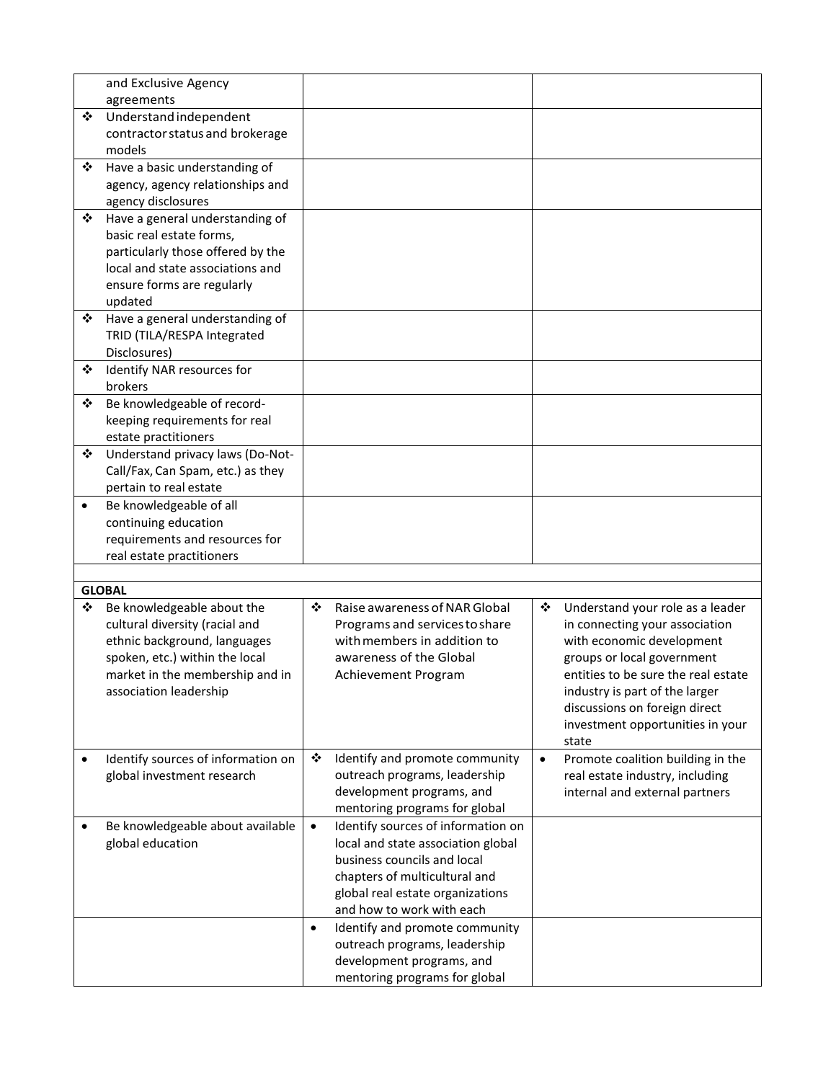|           | and Exclusive Agency               |           |                                    |           |                                     |
|-----------|------------------------------------|-----------|------------------------------------|-----------|-------------------------------------|
|           | agreements                         |           |                                    |           |                                     |
| ❖         | Understand independent             |           |                                    |           |                                     |
|           | contractor status and brokerage    |           |                                    |           |                                     |
|           | models                             |           |                                    |           |                                     |
| ❖         | Have a basic understanding of      |           |                                    |           |                                     |
|           | agency, agency relationships and   |           |                                    |           |                                     |
|           | agency disclosures                 |           |                                    |           |                                     |
| ❖         | Have a general understanding of    |           |                                    |           |                                     |
|           | basic real estate forms,           |           |                                    |           |                                     |
|           | particularly those offered by the  |           |                                    |           |                                     |
|           | local and state associations and   |           |                                    |           |                                     |
|           | ensure forms are regularly         |           |                                    |           |                                     |
|           | updated                            |           |                                    |           |                                     |
| ❖         | Have a general understanding of    |           |                                    |           |                                     |
|           |                                    |           |                                    |           |                                     |
|           | TRID (TILA/RESPA Integrated        |           |                                    |           |                                     |
|           | Disclosures)                       |           |                                    |           |                                     |
| ❖         | Identify NAR resources for         |           |                                    |           |                                     |
|           | brokers                            |           |                                    |           |                                     |
| ❖         | Be knowledgeable of record-        |           |                                    |           |                                     |
|           | keeping requirements for real      |           |                                    |           |                                     |
|           | estate practitioners               |           |                                    |           |                                     |
| ❖         | Understand privacy laws (Do-Not-   |           |                                    |           |                                     |
|           | Call/Fax, Can Spam, etc.) as they  |           |                                    |           |                                     |
|           | pertain to real estate             |           |                                    |           |                                     |
| $\bullet$ | Be knowledgeable of all            |           |                                    |           |                                     |
|           | continuing education               |           |                                    |           |                                     |
|           | requirements and resources for     |           |                                    |           |                                     |
|           | real estate practitioners          |           |                                    |           |                                     |
|           |                                    |           |                                    |           |                                     |
|           | <b>GLOBAL</b>                      |           |                                    |           |                                     |
| ❖         | Be knowledgeable about the         | ❖         | Raise awareness of NAR Global      | ❖         | Understand your role as a leader    |
|           | cultural diversity (racial and     |           | Programs and services to share     |           | in connecting your association      |
|           | ethnic background, languages       |           | with members in addition to        |           | with economic development           |
|           | spoken, etc.) within the local     |           | awareness of the Global            |           | groups or local government          |
|           | market in the membership and in    |           | Achievement Program                |           | entities to be sure the real estate |
|           | association leadership             |           |                                    |           | industry is part of the larger      |
|           |                                    |           |                                    |           | discussions on foreign direct       |
|           |                                    |           |                                    |           |                                     |
|           |                                    |           |                                    |           | investment opportunities in your    |
|           |                                    | ❖         |                                    |           | state                               |
|           | Identify sources of information on |           | Identify and promote community     | $\bullet$ | Promote coalition building in the   |
|           | global investment research         |           | outreach programs, leadership      |           | real estate industry, including     |
|           |                                    |           | development programs, and          |           | internal and external partners      |
|           |                                    |           | mentoring programs for global      |           |                                     |
|           | Be knowledgeable about available   | $\bullet$ | Identify sources of information on |           |                                     |
|           | global education                   |           | local and state association global |           |                                     |
|           |                                    |           | business councils and local        |           |                                     |
|           |                                    |           | chapters of multicultural and      |           |                                     |
|           |                                    |           |                                    |           |                                     |
|           |                                    |           | global real estate organizations   |           |                                     |
|           |                                    |           | and how to work with each          |           |                                     |
|           |                                    | $\bullet$ | Identify and promote community     |           |                                     |
|           |                                    |           | outreach programs, leadership      |           |                                     |
|           |                                    |           | development programs, and          |           |                                     |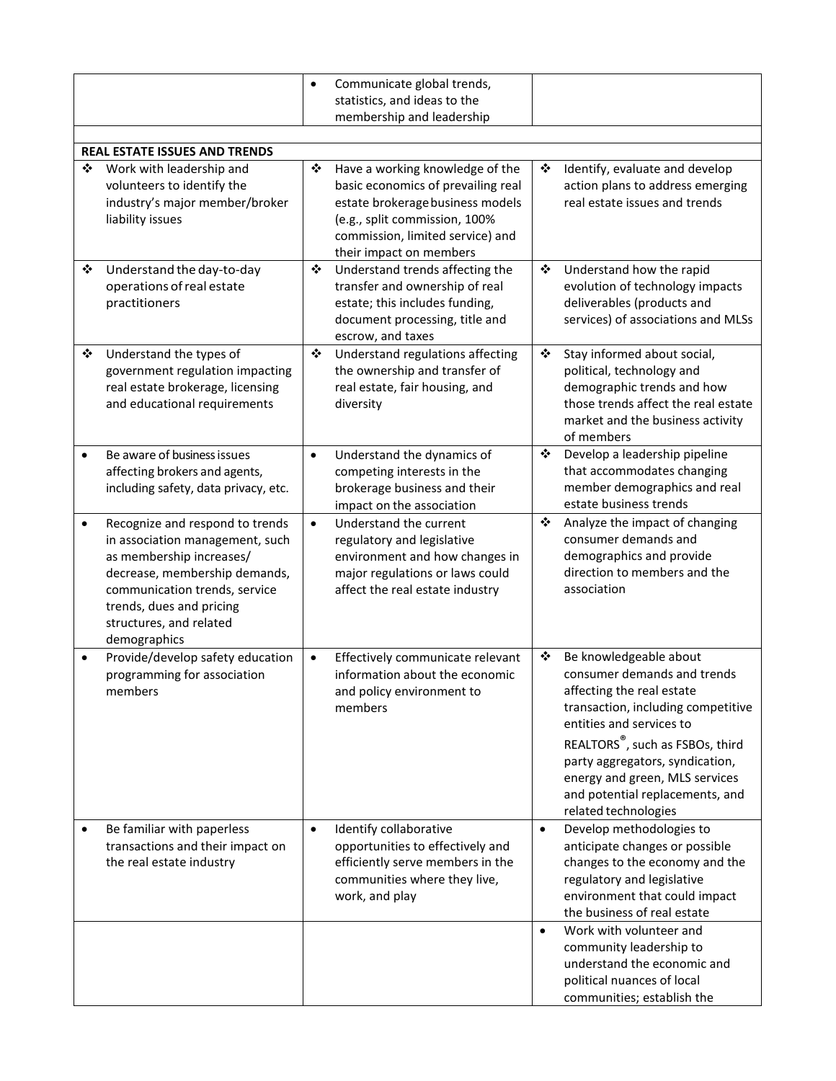|           |                                                                                                                                                                                                                                         | $\bullet$ | Communicate global trends,<br>statistics, and ideas to the<br>membership and leadership                                                                                                                   |           |                                                                                                                                                                                                                                                                                                                                      |
|-----------|-----------------------------------------------------------------------------------------------------------------------------------------------------------------------------------------------------------------------------------------|-----------|-----------------------------------------------------------------------------------------------------------------------------------------------------------------------------------------------------------|-----------|--------------------------------------------------------------------------------------------------------------------------------------------------------------------------------------------------------------------------------------------------------------------------------------------------------------------------------------|
|           |                                                                                                                                                                                                                                         |           |                                                                                                                                                                                                           |           |                                                                                                                                                                                                                                                                                                                                      |
| ❖         | <b>REAL ESTATE ISSUES AND TRENDS</b><br>Work with leadership and<br>volunteers to identify the<br>industry's major member/broker<br>liability issues                                                                                    | ❖         | Have a working knowledge of the<br>basic economics of prevailing real<br>estate brokerage business models<br>(e.g., split commission, 100%<br>commission, limited service) and<br>their impact on members | ❖         | Identify, evaluate and develop<br>action plans to address emerging<br>real estate issues and trends                                                                                                                                                                                                                                  |
| ❖         | Understand the day-to-day<br>operations of real estate<br>practitioners                                                                                                                                                                 | ❖         | Understand trends affecting the<br>transfer and ownership of real<br>estate; this includes funding,<br>document processing, title and<br>escrow, and taxes                                                | ❖         | Understand how the rapid<br>evolution of technology impacts<br>deliverables (products and<br>services) of associations and MLSs                                                                                                                                                                                                      |
| ❖         | Understand the types of<br>government regulation impacting<br>real estate brokerage, licensing<br>and educational requirements                                                                                                          | ❖         | Understand regulations affecting<br>the ownership and transfer of<br>real estate, fair housing, and<br>diversity                                                                                          | ❖         | Stay informed about social,<br>political, technology and<br>demographic trends and how<br>those trends affect the real estate<br>market and the business activity<br>of members                                                                                                                                                      |
| $\bullet$ | Be aware of business issues<br>affecting brokers and agents,<br>including safety, data privacy, etc.                                                                                                                                    | $\bullet$ | Understand the dynamics of<br>competing interests in the<br>brokerage business and their<br>impact on the association                                                                                     | ❖         | Develop a leadership pipeline<br>that accommodates changing<br>member demographics and real<br>estate business trends                                                                                                                                                                                                                |
| $\bullet$ | Recognize and respond to trends<br>in association management, such<br>as membership increases/<br>decrease, membership demands,<br>communication trends, service<br>trends, dues and pricing<br>structures, and related<br>demographics | $\bullet$ | Understand the current<br>regulatory and legislative<br>environment and how changes in<br>major regulations or laws could<br>affect the real estate industry                                              | ❖         | Analyze the impact of changing<br>consumer demands and<br>demographics and provide<br>direction to members and the<br>association                                                                                                                                                                                                    |
| $\bullet$ | Provide/develop safety education<br>programming for association<br>members                                                                                                                                                              | $\bullet$ | Effectively communicate relevant<br>information about the economic<br>and policy environment to<br>members                                                                                                | ❖         | Be knowledgeable about<br>consumer demands and trends<br>affecting the real estate<br>transaction, including competitive<br>entities and services to<br>REALTORS <sup>®</sup> , such as FSBOs, third<br>party aggregators, syndication,<br>energy and green, MLS services<br>and potential replacements, and<br>related technologies |
|           | Be familiar with paperless<br>transactions and their impact on<br>the real estate industry                                                                                                                                              | $\bullet$ | Identify collaborative<br>opportunities to effectively and<br>efficiently serve members in the<br>communities where they live,<br>work, and play                                                          | $\bullet$ | Develop methodologies to<br>anticipate changes or possible<br>changes to the economy and the<br>regulatory and legislative<br>environment that could impact<br>the business of real estate                                                                                                                                           |
|           |                                                                                                                                                                                                                                         |           |                                                                                                                                                                                                           | $\bullet$ | Work with volunteer and<br>community leadership to<br>understand the economic and<br>political nuances of local<br>communities; establish the                                                                                                                                                                                        |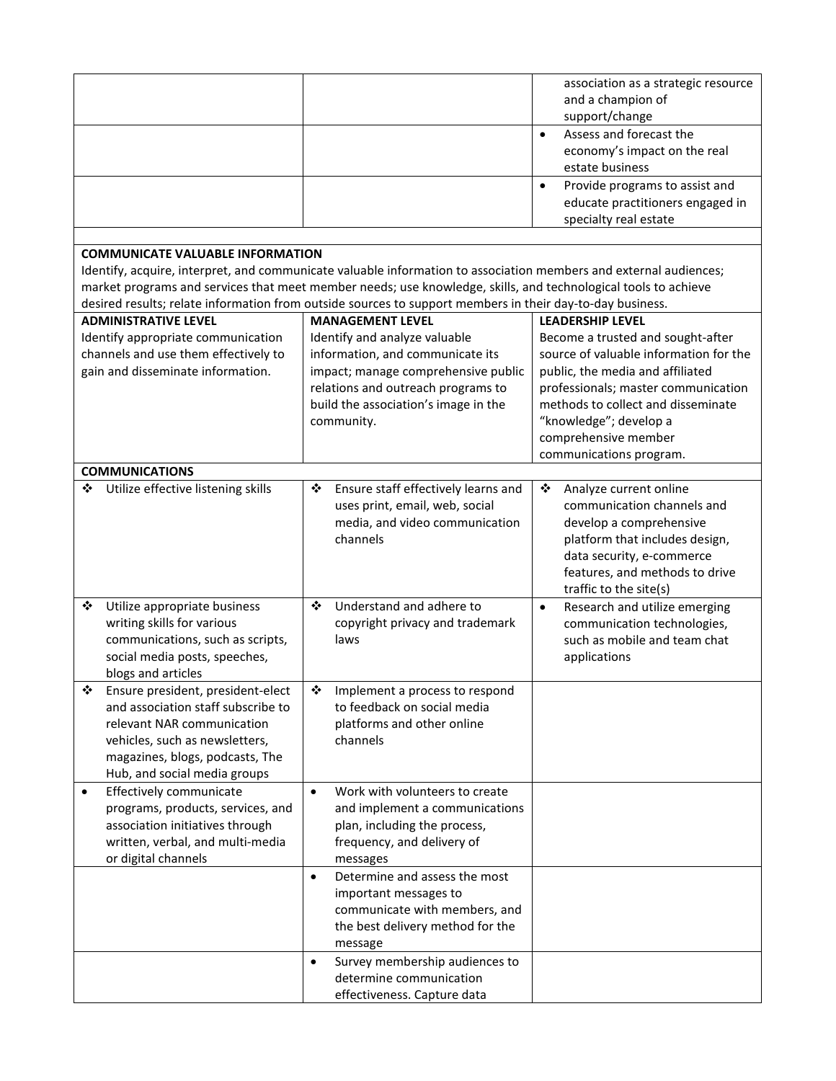|                                         |                                                                                                                   | association as a strategic resource         |  |
|-----------------------------------------|-------------------------------------------------------------------------------------------------------------------|---------------------------------------------|--|
|                                         |                                                                                                                   | and a champion of                           |  |
|                                         |                                                                                                                   | support/change                              |  |
|                                         |                                                                                                                   | Assess and forecast the<br>$\bullet$        |  |
|                                         |                                                                                                                   | economy's impact on the real                |  |
|                                         |                                                                                                                   | estate business                             |  |
|                                         |                                                                                                                   | Provide programs to assist and<br>$\bullet$ |  |
|                                         |                                                                                                                   | educate practitioners engaged in            |  |
|                                         |                                                                                                                   | specialty real estate                       |  |
|                                         |                                                                                                                   |                                             |  |
| <b>COMMUNICATE VALUABLE INFORMATION</b> |                                                                                                                   |                                             |  |
|                                         | Identify, acquire, interpret, and communicate valuable information to association members and external audiences; |                                             |  |
|                                         | market programs and services that meet member needs; use knowledge, skills, and technological tools to achieve    |                                             |  |
|                                         | desired results; relate information from outside sources to support members in their day-to-day business.         |                                             |  |
| <b>ADMINISTRATIVE LEVEL</b>             | <b>MANAGEMENT LEVEL</b>                                                                                           | <b>LEADERSHIP LEVEL</b>                     |  |
| Identify appropriate communication      | Identify and analyze valuable                                                                                     | Become a trusted and sought-after           |  |
| channels and use them effectively to    | information, and communicate its                                                                                  | source of valuable information for the      |  |
| gain and disseminate information.       | impact; manage comprehensive public                                                                               | public, the media and affiliated            |  |
|                                         | relations and outreach programs to                                                                                | professionals; master communication         |  |
|                                         | build the association's image in the                                                                              | methods to collect and disseminate          |  |
|                                         | community.                                                                                                        | "knowledge"; develop a                      |  |
|                                         |                                                                                                                   | comprehensive member                        |  |
|                                         |                                                                                                                   | communications program.                     |  |
| <b>COMMUNICATIONS</b>                   |                                                                                                                   |                                             |  |
| Utilize effective listening skills<br>❖ | Ensure staff effectively learns and<br>❖                                                                          | ❖<br>Analyze current online                 |  |
|                                         | uses print, email, web, social                                                                                    | communication channels and                  |  |
|                                         | media, and video communication                                                                                    | develop a comprehensive                     |  |
|                                         | channels                                                                                                          | platform that includes design,              |  |
|                                         |                                                                                                                   | data security, e-commerce                   |  |
|                                         |                                                                                                                   | features, and methods to drive              |  |
|                                         |                                                                                                                   | traffic to the site(s)                      |  |
| ❖<br>Utilize appropriate business       | ❖<br>Understand and adhere to                                                                                     | Research and utilize emerging<br>$\bullet$  |  |
| writing skills for various              | copyright privacy and trademark                                                                                   | communication technologies,                 |  |
| communications, such as scripts,        | laws                                                                                                              | such as mobile and team chat                |  |
| social media posts, speeches,           |                                                                                                                   | applications                                |  |
| blogs and articles                      |                                                                                                                   |                                             |  |
| Ensure president, president-elect<br>❖  | Implement a process to respond<br>❖                                                                               |                                             |  |
| and association staff subscribe to      | to feedback on social media                                                                                       |                                             |  |
| relevant NAR communication              | platforms and other online                                                                                        |                                             |  |
| vehicles, such as newsletters,          | channels                                                                                                          |                                             |  |
| magazines, blogs, podcasts, The         |                                                                                                                   |                                             |  |
| Hub, and social media groups            |                                                                                                                   |                                             |  |
| Effectively communicate<br>$\bullet$    | Work with volunteers to create<br>$\bullet$                                                                       |                                             |  |
| programs, products, services, and       | and implement a communications                                                                                    |                                             |  |
| association initiatives through         | plan, including the process,                                                                                      |                                             |  |
| written, verbal, and multi-media        | frequency, and delivery of                                                                                        |                                             |  |
| or digital channels                     | messages                                                                                                          |                                             |  |
|                                         | Determine and assess the most<br>$\bullet$                                                                        |                                             |  |
|                                         | important messages to                                                                                             |                                             |  |
|                                         | communicate with members, and                                                                                     |                                             |  |
|                                         | the best delivery method for the                                                                                  |                                             |  |
|                                         | message                                                                                                           |                                             |  |
|                                         | Survey membership audiences to<br>$\bullet$                                                                       |                                             |  |
|                                         | determine communication                                                                                           |                                             |  |
|                                         | effectiveness. Capture data                                                                                       |                                             |  |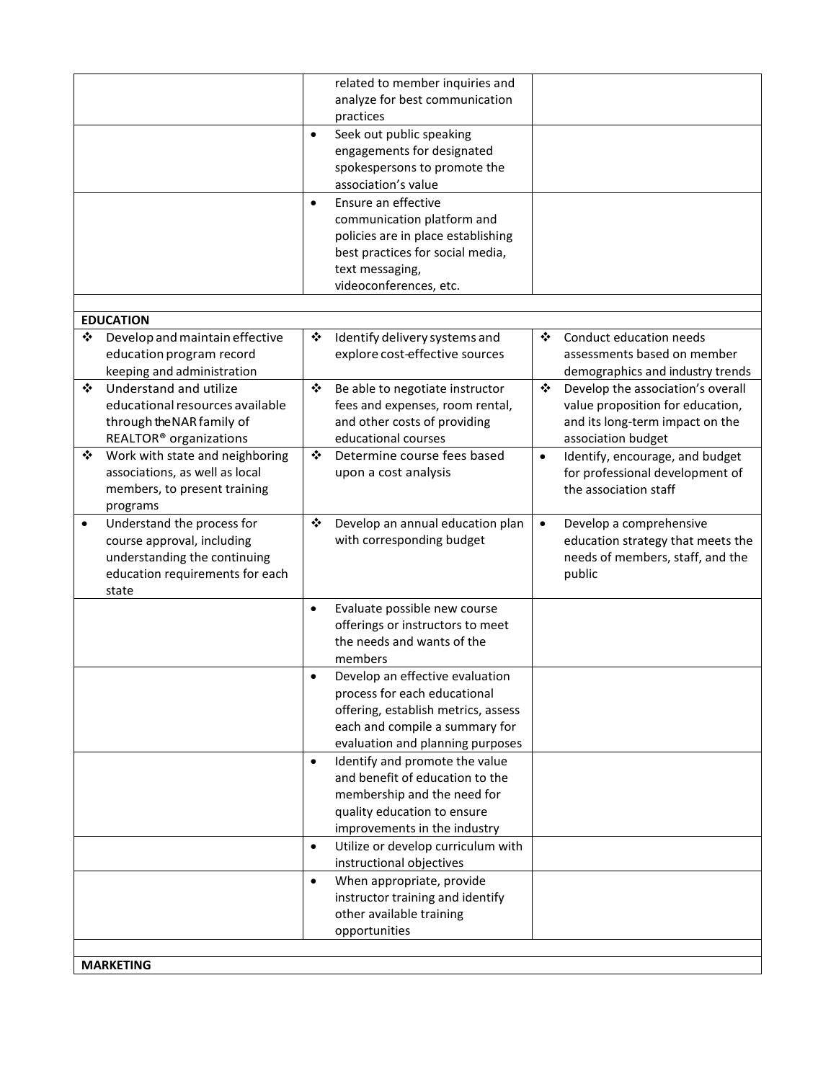|           |                                          |           | related to member inquiries and     |           |                                   |
|-----------|------------------------------------------|-----------|-------------------------------------|-----------|-----------------------------------|
|           |                                          |           | analyze for best communication      |           |                                   |
|           |                                          |           | practices                           |           |                                   |
|           |                                          | $\bullet$ | Seek out public speaking            |           |                                   |
|           |                                          |           | engagements for designated          |           |                                   |
|           |                                          |           | spokespersons to promote the        |           |                                   |
|           |                                          |           | association's value                 |           |                                   |
|           |                                          | $\bullet$ | Ensure an effective                 |           |                                   |
|           |                                          |           | communication platform and          |           |                                   |
|           |                                          |           | policies are in place establishing  |           |                                   |
|           |                                          |           | best practices for social media,    |           |                                   |
|           |                                          |           | text messaging,                     |           |                                   |
|           |                                          |           | videoconferences, etc.              |           |                                   |
|           |                                          |           |                                     |           |                                   |
|           | <b>EDUCATION</b>                         |           |                                     |           |                                   |
| ❖         | Develop and maintain effective           | ❖         | Identify delivery systems and       | ❖         | Conduct education needs           |
|           | education program record                 |           | explore cost-effective sources      |           | assessments based on member       |
|           | keeping and administration               |           |                                     |           | demographics and industry trends  |
| ❖         | Understand and utilize                   | ❖         | Be able to negotiate instructor     | ❖         | Develop the association's overall |
|           | educational resources available          |           | fees and expenses, room rental,     |           | value proposition for education,  |
|           | through the NAR family of                |           | and other costs of providing        |           | and its long-term impact on the   |
|           | REALTOR <sup>®</sup> organizations       |           | educational courses                 |           | association budget                |
| ❖         | Work with state and neighboring          | ❖         | Determine course fees based         | $\bullet$ | Identify, encourage, and budget   |
|           | associations, as well as local           |           | upon a cost analysis                |           | for professional development of   |
|           | members, to present training             |           |                                     |           | the association staff             |
|           | programs                                 |           |                                     |           |                                   |
| $\bullet$ | Understand the process for               | ❖         | Develop an annual education plan    | $\bullet$ | Develop a comprehensive           |
|           | course approval, including               |           | with corresponding budget           |           | education strategy that meets the |
|           | understanding the continuing             |           |                                     |           | needs of members, staff, and the  |
|           | education requirements for each<br>state |           |                                     |           | public                            |
|           |                                          | $\bullet$ | Evaluate possible new course        |           |                                   |
|           |                                          |           | offerings or instructors to meet    |           |                                   |
|           |                                          |           | the needs and wants of the          |           |                                   |
|           |                                          |           | members                             |           |                                   |
|           |                                          | $\bullet$ | Develop an effective evaluation     |           |                                   |
|           |                                          |           | process for each educational        |           |                                   |
|           |                                          |           | offering, establish metrics, assess |           |                                   |
|           |                                          |           | each and compile a summary for      |           |                                   |
|           |                                          |           | evaluation and planning purposes    |           |                                   |
|           |                                          | $\bullet$ | Identify and promote the value      |           |                                   |
|           |                                          |           | and benefit of education to the     |           |                                   |
|           |                                          |           | membership and the need for         |           |                                   |
|           |                                          |           | quality education to ensure         |           |                                   |
|           |                                          |           | improvements in the industry        |           |                                   |
|           |                                          | $\bullet$ | Utilize or develop curriculum with  |           |                                   |
|           |                                          |           | instructional objectives            |           |                                   |
|           |                                          | $\bullet$ | When appropriate, provide           |           |                                   |
|           |                                          |           | instructor training and identify    |           |                                   |
|           |                                          |           | other available training            |           |                                   |
|           |                                          |           | opportunities                       |           |                                   |
|           |                                          |           |                                     |           |                                   |
|           | <b>MARKETING</b>                         |           |                                     |           |                                   |
|           |                                          |           |                                     |           |                                   |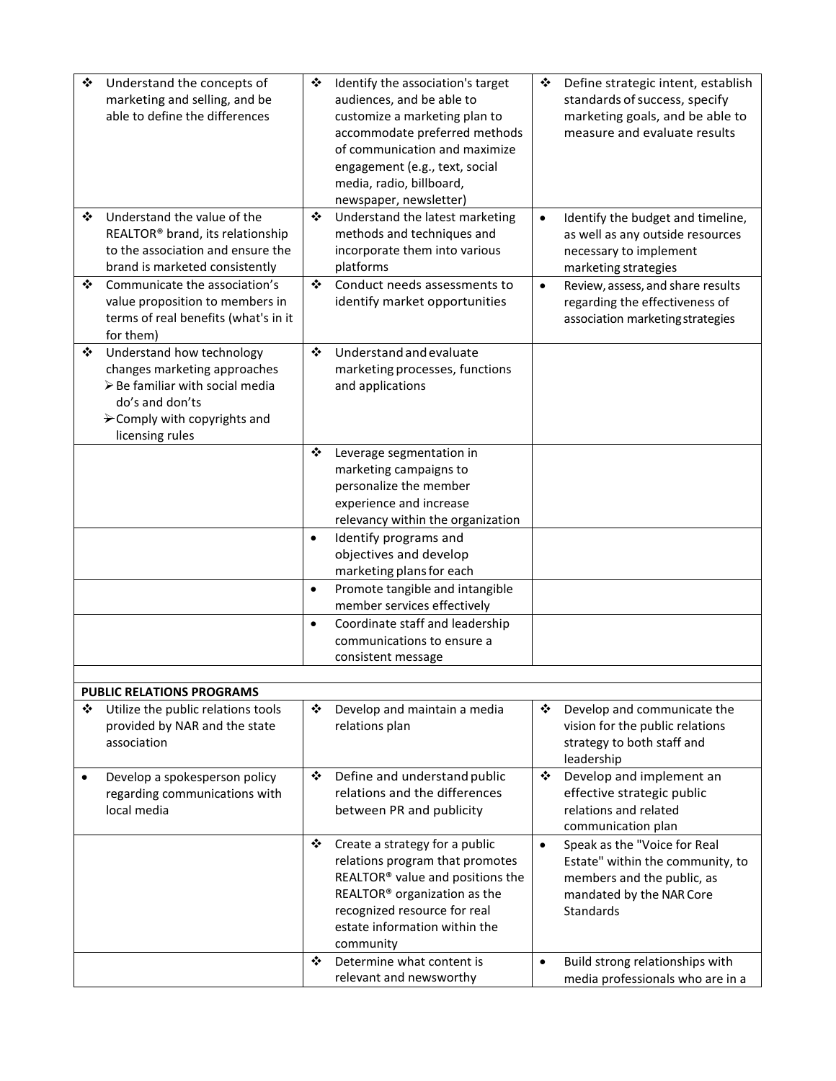| Understand the concepts of<br>❖              | ❖         | Identify the association's target        | ❖         | Define strategic intent, establish |
|----------------------------------------------|-----------|------------------------------------------|-----------|------------------------------------|
| marketing and selling, and be                |           | audiences, and be able to                |           | standards of success, specify      |
| able to define the differences               |           | customize a marketing plan to            |           | marketing goals, and be able to    |
|                                              |           | accommodate preferred methods            |           | measure and evaluate results       |
|                                              |           | of communication and maximize            |           |                                    |
|                                              |           | engagement (e.g., text, social           |           |                                    |
|                                              |           |                                          |           |                                    |
|                                              |           | media, radio, billboard,                 |           |                                    |
|                                              |           | newspaper, newsletter)                   |           |                                    |
| Understand the value of the<br>❖             | ❖         | Understand the latest marketing          | $\bullet$ | Identify the budget and timeline,  |
| REALTOR <sup>®</sup> brand, its relationship |           | methods and techniques and               |           | as well as any outside resources   |
| to the association and ensure the            |           | incorporate them into various            |           | necessary to implement             |
| brand is marketed consistently               |           | platforms                                |           | marketing strategies               |
| ❖<br>Communicate the association's           | ❖         | Conduct needs assessments to             | $\bullet$ | Review, assess, and share results  |
|                                              |           |                                          |           |                                    |
| value proposition to members in              |           | identify market opportunities            |           | regarding the effectiveness of     |
| terms of real benefits (what's in it         |           |                                          |           | association marketing strategies   |
| for them)                                    |           |                                          |           |                                    |
| Understand how technology<br>❖               | ❖         | Understand and evaluate                  |           |                                    |
| changes marketing approaches                 |           | marketing processes, functions           |           |                                    |
| > Be familiar with social media              |           | and applications                         |           |                                    |
| do's and don'ts                              |           |                                          |           |                                    |
| $\rightarrow$ Comply with copyrights and     |           |                                          |           |                                    |
| licensing rules                              |           |                                          |           |                                    |
|                                              | ❖         |                                          |           |                                    |
|                                              |           | Leverage segmentation in                 |           |                                    |
|                                              |           | marketing campaigns to                   |           |                                    |
|                                              |           | personalize the member                   |           |                                    |
|                                              |           | experience and increase                  |           |                                    |
|                                              |           | relevancy within the organization        |           |                                    |
|                                              | $\bullet$ | Identify programs and                    |           |                                    |
|                                              |           | objectives and develop                   |           |                                    |
|                                              |           | marketing plans for each                 |           |                                    |
|                                              | $\bullet$ | Promote tangible and intangible          |           |                                    |
|                                              |           | member services effectively              |           |                                    |
|                                              | $\bullet$ | Coordinate staff and leadership          |           |                                    |
|                                              |           | communications to ensure a               |           |                                    |
|                                              |           |                                          |           |                                    |
|                                              |           | consistent message                       |           |                                    |
|                                              |           |                                          |           |                                    |
| <b>PUBLIC RELATIONS PROGRAMS</b>             |           |                                          |           |                                    |
| Utilize the public relations tools<br>❖      | ❖         | Develop and maintain a media             | ❖         | Develop and communicate the        |
| provided by NAR and the state                |           | relations plan                           |           | vision for the public relations    |
| association                                  |           |                                          |           | strategy to both staff and         |
|                                              |           |                                          |           | leadership                         |
| Develop a spokesperson policy<br>$\bullet$   | ❖         | Define and understand public             | ❖         | Develop and implement an           |
| regarding communications with                |           | relations and the differences            |           | effective strategic public         |
| local media                                  |           | between PR and publicity                 |           | relations and related              |
|                                              |           |                                          |           | communication plan                 |
|                                              | ❖         | Create a strategy for a public           | $\bullet$ | Speak as the "Voice for Real       |
|                                              |           | relations program that promotes          |           |                                    |
|                                              |           |                                          |           | Estate" within the community, to   |
|                                              |           | REALTOR® value and positions the         |           | members and the public, as         |
|                                              |           | REALTOR <sup>®</sup> organization as the |           | mandated by the NAR Core           |
|                                              |           | recognized resource for real             |           | Standards                          |
|                                              |           | estate information within the            |           |                                    |
|                                              |           | community                                |           |                                    |
|                                              | ❖         | Determine what content is                | $\bullet$ | Build strong relationships with    |
|                                              |           | relevant and newsworthy                  |           | media professionals who are in a   |